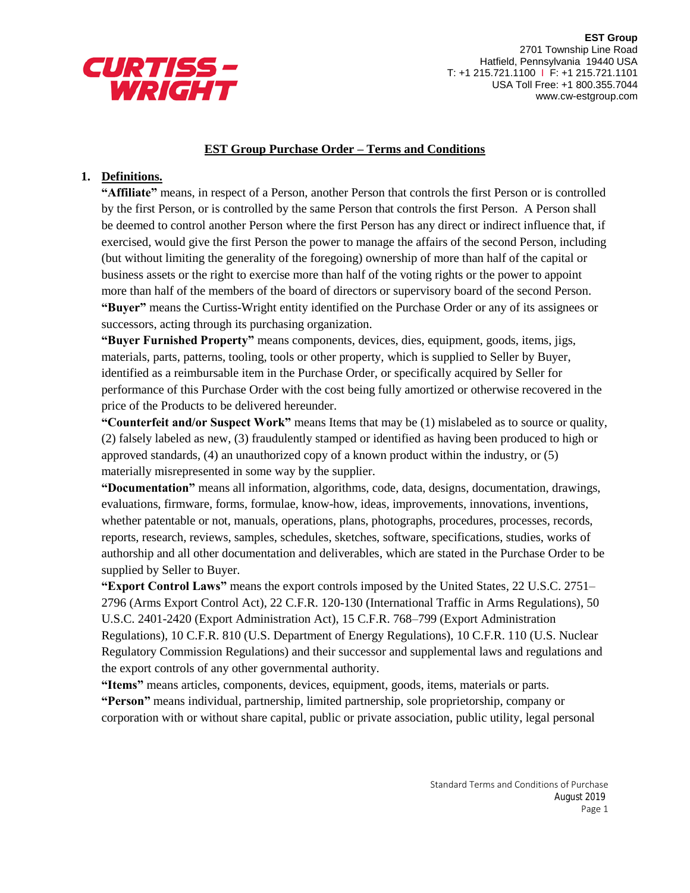

**EST Group** 2701 Township Line Road Hatfield, Pennsylvania 19440 USA T: +1 215.721.1100 I F: +1 215.721.1101 USA Toll Free: +1 800.355.7044 www.cw-estgroup.com

## **EST Group Purchase Order – Terms and Conditions**

## **1. Definitions.**

**"Affiliate"** means, in respect of a Person, another Person that controls the first Person or is controlled by the first Person, or is controlled by the same Person that controls the first Person. A Person shall be deemed to control another Person where the first Person has any direct or indirect influence that, if exercised, would give the first Person the power to manage the affairs of the second Person, including (but without limiting the generality of the foregoing) ownership of more than half of the capital or business assets or the right to exercise more than half of the voting rights or the power to appoint more than half of the members of the board of directors or supervisory board of the second Person. **"Buyer"** means the Curtiss-Wright entity identified on the Purchase Order or any of its assignees or successors, acting through its purchasing organization.

**"Buyer Furnished Property"** means components, devices, dies, equipment, goods, items, jigs, materials, parts, patterns, tooling, tools or other property, which is supplied to Seller by Buyer, identified as a reimbursable item in the Purchase Order, or specifically acquired by Seller for performance of this Purchase Order with the cost being fully amortized or otherwise recovered in the price of the Products to be delivered hereunder.

**"Counterfeit and/or Suspect Work"** means Items that may be (1) mislabeled as to source or quality, (2) falsely labeled as new, (3) fraudulently stamped or identified as having been produced to high or approved standards, (4) an unauthorized copy of a known product within the industry, or (5) materially misrepresented in some way by the supplier.

**"Documentation"** means all information, algorithms, code, data, designs, documentation, drawings, evaluations, firmware, forms, formulae, know-how, ideas, improvements, innovations, inventions, whether patentable or not, manuals, operations, plans, photographs, procedures, processes, records, reports, research, reviews, samples, schedules, sketches, software, specifications, studies, works of authorship and all other documentation and deliverables, which are stated in the Purchase Order to be supplied by Seller to Buyer.

**"Export Control Laws"** means the export controls imposed by the United States, 22 U.S.C. 2751– 2796 (Arms Export Control Act), 22 C.F.R. 120-130 (International Traffic in Arms Regulations), 50 U.S.C. 2401-2420 (Export Administration Act), 15 C.F.R. 768–799 (Export Administration Regulations), 10 C.F.R. 810 (U.S. Department of Energy Regulations), 10 C.F.R. 110 (U.S. Nuclear Regulatory Commission Regulations) and their successor and supplemental laws and regulations and the export controls of any other governmental authority.

**"Items"** means articles, components, devices, equipment, goods, items, materials or parts. **"Person"** means individual, partnership, limited partnership, sole proprietorship, company or corporation with or without share capital, public or private association, public utility, legal personal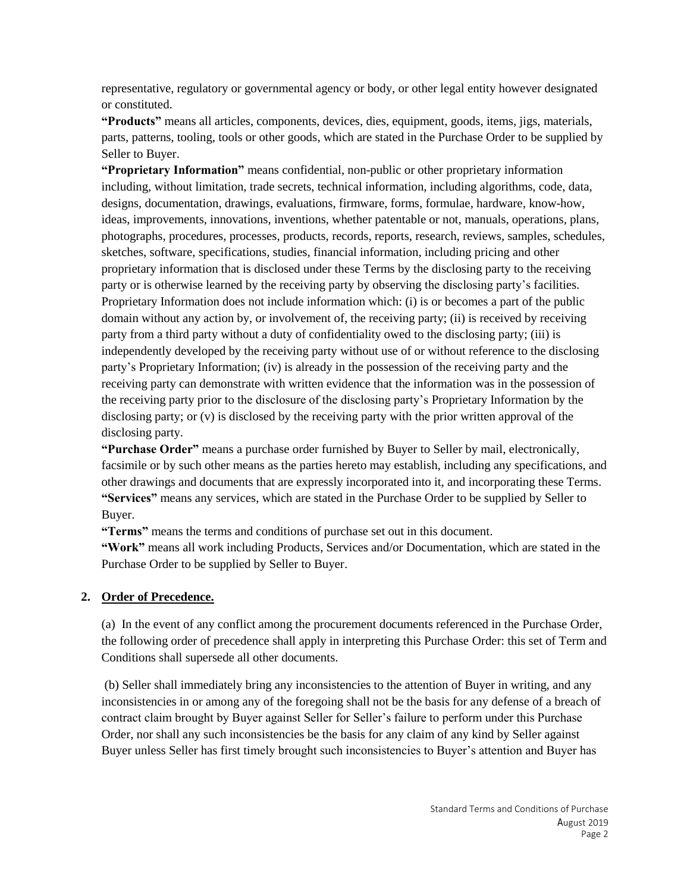representative, regulatory or governmental agency or body, or other legal entity however designated or constituted.

**"Products"** means all articles, components, devices, dies, equipment, goods, items, jigs, materials, parts, patterns, tooling, tools or other goods, which are stated in the Purchase Order to be supplied by Seller to Buyer.

**"Proprietary Information"** means confidential, non-public or other proprietary information including, without limitation, trade secrets, technical information, including algorithms, code, data, designs, documentation, drawings, evaluations, firmware, forms, formulae, hardware, know-how, ideas, improvements, innovations, inventions, whether patentable or not, manuals, operations, plans, photographs, procedures, processes, products, records, reports, research, reviews, samples, schedules, sketches, software, specifications, studies, financial information, including pricing and other proprietary information that is disclosed under these Terms by the disclosing party to the receiving party or is otherwise learned by the receiving party by observing the disclosing party's facilities. Proprietary Information does not include information which: (i) is or becomes a part of the public domain without any action by, or involvement of, the receiving party; (ii) is received by receiving party from a third party without a duty of confidentiality owed to the disclosing party; (iii) is independently developed by the receiving party without use of or without reference to the disclosing party's Proprietary Information; (iv) is already in the possession of the receiving party and the receiving party can demonstrate with written evidence that the information was in the possession of the receiving party prior to the disclosure of the disclosing party's Proprietary Information by the disclosing party; or (v) is disclosed by the receiving party with the prior written approval of the disclosing party.

**"Purchase Order"** means a purchase order furnished by Buyer to Seller by mail, electronically, facsimile or by such other means as the parties hereto may establish, including any specifications, and other drawings and documents that are expressly incorporated into it, and incorporating these Terms. **"Services"** means any services, which are stated in the Purchase Order to be supplied by Seller to Buyer.

**"Terms"** means the terms and conditions of purchase set out in this document.

**"Work"** means all work including Products, Services and/or Documentation, which are stated in the Purchase Order to be supplied by Seller to Buyer.

## **2. Order of Precedence.**

(a) In the event of any conflict among the procurement documents referenced in the Purchase Order, the following order of precedence shall apply in interpreting this Purchase Order: this set of Term and Conditions shall supersede all other documents.

(b) Seller shall immediately bring any inconsistencies to the attention of Buyer in writing, and any inconsistencies in or among any of the foregoing shall not be the basis for any defense of a breach of contract claim brought by Buyer against Seller for Seller's failure to perform under this Purchase Order, nor shall any such inconsistencies be the basis for any claim of any kind by Seller against Buyer unless Seller has first timely brought such inconsistencies to Buyer's attention and Buyer has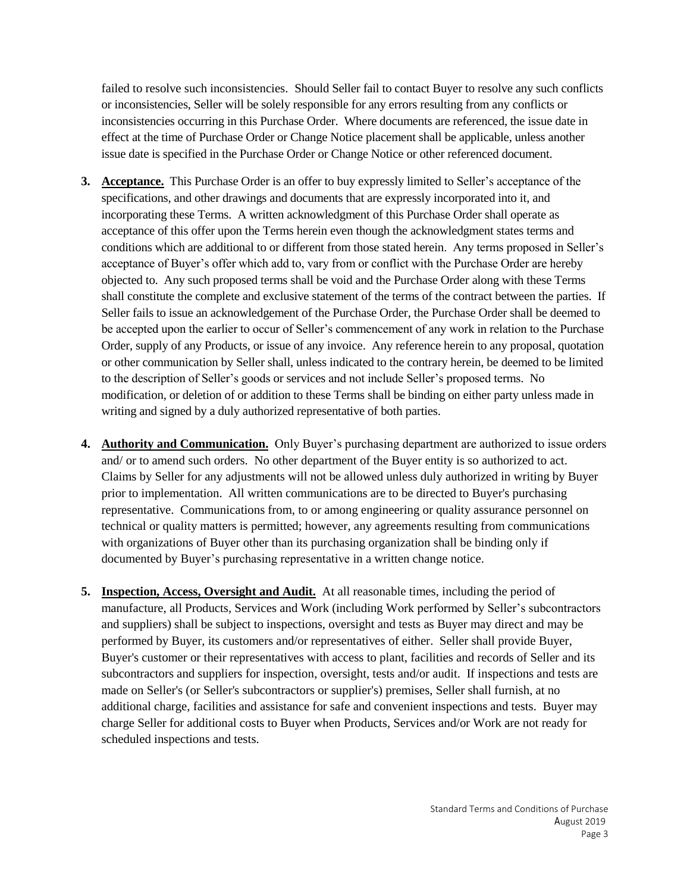failed to resolve such inconsistencies. Should Seller fail to contact Buyer to resolve any such conflicts or inconsistencies, Seller will be solely responsible for any errors resulting from any conflicts or inconsistencies occurring in this Purchase Order. Where documents are referenced, the issue date in effect at the time of Purchase Order or Change Notice placement shall be applicable, unless another issue date is specified in the Purchase Order or Change Notice or other referenced document.

- **3. Acceptance.** This Purchase Order is an offer to buy expressly limited to Seller's acceptance of the specifications, and other drawings and documents that are expressly incorporated into it, and incorporating these Terms. A written acknowledgment of this Purchase Order shall operate as acceptance of this offer upon the Terms herein even though the acknowledgment states terms and conditions which are additional to or different from those stated herein. Any terms proposed in Seller's acceptance of Buyer's offer which add to, vary from or conflict with the Purchase Order are hereby objected to. Any such proposed terms shall be void and the Purchase Order along with these Terms shall constitute the complete and exclusive statement of the terms of the contract between the parties. If Seller fails to issue an acknowledgement of the Purchase Order, the Purchase Order shall be deemed to be accepted upon the earlier to occur of Seller's commencement of any work in relation to the Purchase Order, supply of any Products, or issue of any invoice. Any reference herein to any proposal, quotation or other communication by Seller shall, unless indicated to the contrary herein, be deemed to be limited to the description of Seller's goods or services and not include Seller's proposed terms. No modification, or deletion of or addition to these Terms shall be binding on either party unless made in writing and signed by a duly authorized representative of both parties.
- **4. Authority and Communication.** Only Buyer's purchasing department are authorized to issue orders and/ or to amend such orders. No other department of the Buyer entity is so authorized to act. Claims by Seller for any adjustments will not be allowed unless duly authorized in writing by Buyer prior to implementation. All written communications are to be directed to Buyer's purchasing representative. Communications from, to or among engineering or quality assurance personnel on technical or quality matters is permitted; however, any agreements resulting from communications with organizations of Buyer other than its purchasing organization shall be binding only if documented by Buyer's purchasing representative in a written change notice.
- **5. Inspection, Access, Oversight and Audit.** At all reasonable times, including the period of manufacture, all Products, Services and Work (including Work performed by Seller's subcontractors and suppliers) shall be subject to inspections, oversight and tests as Buyer may direct and may be performed by Buyer, its customers and/or representatives of either. Seller shall provide Buyer, Buyer's customer or their representatives with access to plant, facilities and records of Seller and its subcontractors and suppliers for inspection, oversight, tests and/or audit. If inspections and tests are made on Seller's (or Seller's subcontractors or supplier's) premises, Seller shall furnish, at no additional charge, facilities and assistance for safe and convenient inspections and tests. Buyer may charge Seller for additional costs to Buyer when Products, Services and/or Work are not ready for scheduled inspections and tests.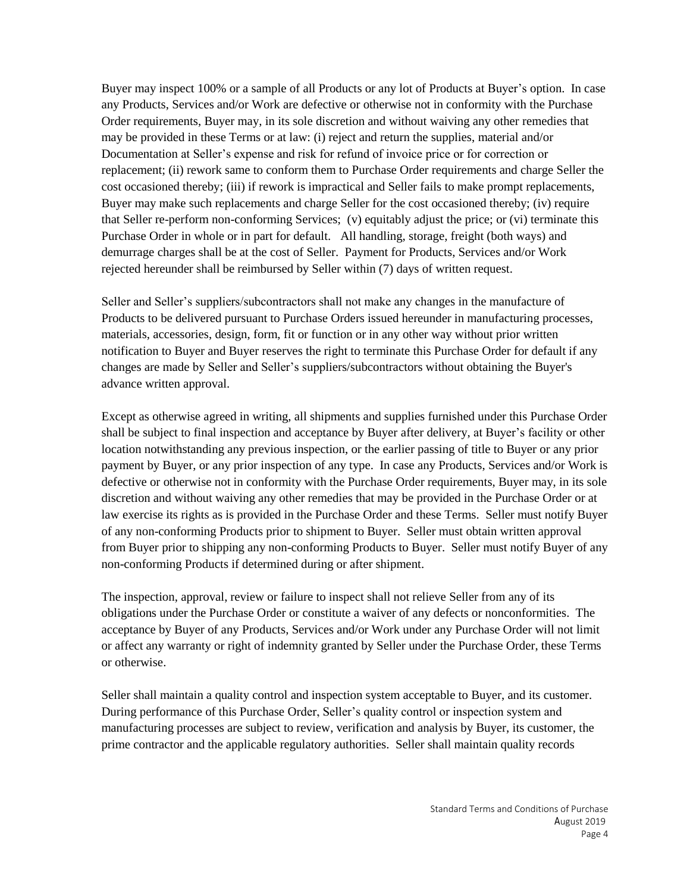Buyer may inspect 100% or a sample of all Products or any lot of Products at Buyer's option. In case any Products, Services and/or Work are defective or otherwise not in conformity with the Purchase Order requirements, Buyer may, in its sole discretion and without waiving any other remedies that may be provided in these Terms or at law: (i) reject and return the supplies, material and/or Documentation at Seller's expense and risk for refund of invoice price or for correction or replacement; (ii) rework same to conform them to Purchase Order requirements and charge Seller the cost occasioned thereby; (iii) if rework is impractical and Seller fails to make prompt replacements, Buyer may make such replacements and charge Seller for the cost occasioned thereby; (iv) require that Seller re-perform non-conforming Services; (v) equitably adjust the price; or (vi) terminate this Purchase Order in whole or in part for default. All handling, storage, freight (both ways) and demurrage charges shall be at the cost of Seller. Payment for Products, Services and/or Work rejected hereunder shall be reimbursed by Seller within (7) days of written request.

Seller and Seller's suppliers/subcontractors shall not make any changes in the manufacture of Products to be delivered pursuant to Purchase Orders issued hereunder in manufacturing processes, materials, accessories, design, form, fit or function or in any other way without prior written notification to Buyer and Buyer reserves the right to terminate this Purchase Order for default if any changes are made by Seller and Seller's suppliers/subcontractors without obtaining the Buyer's advance written approval.

Except as otherwise agreed in writing, all shipments and supplies furnished under this Purchase Order shall be subject to final inspection and acceptance by Buyer after delivery, at Buyer's facility or other location notwithstanding any previous inspection, or the earlier passing of title to Buyer or any prior payment by Buyer, or any prior inspection of any type. In case any Products, Services and/or Work is defective or otherwise not in conformity with the Purchase Order requirements, Buyer may, in its sole discretion and without waiving any other remedies that may be provided in the Purchase Order or at law exercise its rights as is provided in the Purchase Order and these Terms. Seller must notify Buyer of any non-conforming Products prior to shipment to Buyer. Seller must obtain written approval from Buyer prior to shipping any non-conforming Products to Buyer. Seller must notify Buyer of any non-conforming Products if determined during or after shipment.

The inspection, approval, review or failure to inspect shall not relieve Seller from any of its obligations under the Purchase Order or constitute a waiver of any defects or nonconformities. The acceptance by Buyer of any Products, Services and/or Work under any Purchase Order will not limit or affect any warranty or right of indemnity granted by Seller under the Purchase Order, these Terms or otherwise.

Seller shall maintain a quality control and inspection system acceptable to Buyer, and its customer. During performance of this Purchase Order, Seller's quality control or inspection system and manufacturing processes are subject to review, verification and analysis by Buyer, its customer, the prime contractor and the applicable regulatory authorities. Seller shall maintain quality records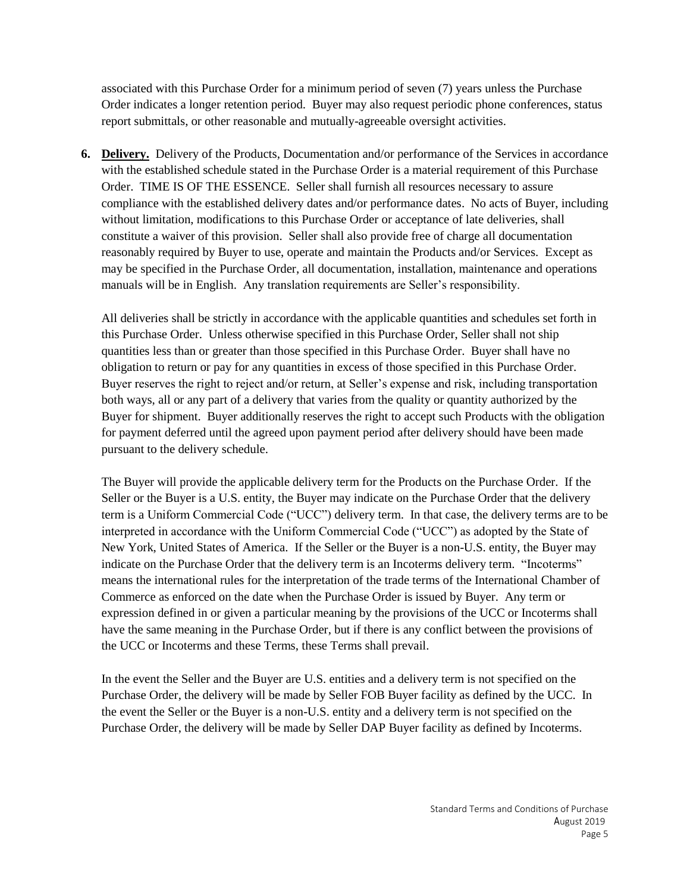associated with this Purchase Order for a minimum period of seven (7) years unless the Purchase Order indicates a longer retention period. Buyer may also request periodic phone conferences, status report submittals, or other reasonable and mutually-agreeable oversight activities.

**6. Delivery.** Delivery of the Products, Documentation and/or performance of the Services in accordance with the established schedule stated in the Purchase Order is a material requirement of this Purchase Order. TIME IS OF THE ESSENCE. Seller shall furnish all resources necessary to assure compliance with the established delivery dates and/or performance dates. No acts of Buyer, including without limitation, modifications to this Purchase Order or acceptance of late deliveries, shall constitute a waiver of this provision. Seller shall also provide free of charge all documentation reasonably required by Buyer to use, operate and maintain the Products and/or Services. Except as may be specified in the Purchase Order, all documentation, installation, maintenance and operations manuals will be in English. Any translation requirements are Seller's responsibility.

All deliveries shall be strictly in accordance with the applicable quantities and schedules set forth in this Purchase Order. Unless otherwise specified in this Purchase Order, Seller shall not ship quantities less than or greater than those specified in this Purchase Order. Buyer shall have no obligation to return or pay for any quantities in excess of those specified in this Purchase Order. Buyer reserves the right to reject and/or return, at Seller's expense and risk, including transportation both ways, all or any part of a delivery that varies from the quality or quantity authorized by the Buyer for shipment. Buyer additionally reserves the right to accept such Products with the obligation for payment deferred until the agreed upon payment period after delivery should have been made pursuant to the delivery schedule.

The Buyer will provide the applicable delivery term for the Products on the Purchase Order. If the Seller or the Buyer is a U.S. entity, the Buyer may indicate on the Purchase Order that the delivery term is a Uniform Commercial Code ("UCC") delivery term. In that case, the delivery terms are to be interpreted in accordance with the Uniform Commercial Code ("UCC") as adopted by the State of New York, United States of America. If the Seller or the Buyer is a non-U.S. entity, the Buyer may indicate on the Purchase Order that the delivery term is an Incoterms delivery term. "Incoterms" means the international rules for the interpretation of the trade terms of the International Chamber of Commerce as enforced on the date when the Purchase Order is issued by Buyer. Any term or expression defined in or given a particular meaning by the provisions of the UCC or Incoterms shall have the same meaning in the Purchase Order, but if there is any conflict between the provisions of the UCC or Incoterms and these Terms, these Terms shall prevail.

In the event the Seller and the Buyer are U.S. entities and a delivery term is not specified on the Purchase Order, the delivery will be made by Seller FOB Buyer facility as defined by the UCC. In the event the Seller or the Buyer is a non-U.S. entity and a delivery term is not specified on the Purchase Order, the delivery will be made by Seller DAP Buyer facility as defined by Incoterms.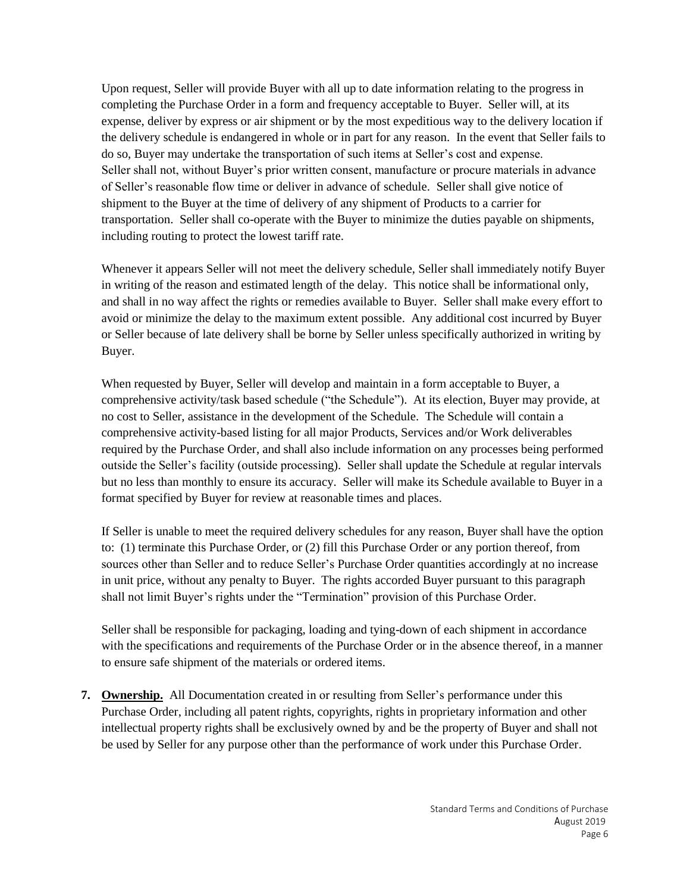Upon request, Seller will provide Buyer with all up to date information relating to the progress in completing the Purchase Order in a form and frequency acceptable to Buyer. Seller will, at its expense, deliver by express or air shipment or by the most expeditious way to the delivery location if the delivery schedule is endangered in whole or in part for any reason. In the event that Seller fails to do so, Buyer may undertake the transportation of such items at Seller's cost and expense. Seller shall not, without Buyer's prior written consent, manufacture or procure materials in advance of Seller's reasonable flow time or deliver in advance of schedule. Seller shall give notice of shipment to the Buyer at the time of delivery of any shipment of Products to a carrier for transportation. Seller shall co-operate with the Buyer to minimize the duties payable on shipments, including routing to protect the lowest tariff rate.

Whenever it appears Seller will not meet the delivery schedule, Seller shall immediately notify Buyer in writing of the reason and estimated length of the delay. This notice shall be informational only, and shall in no way affect the rights or remedies available to Buyer. Seller shall make every effort to avoid or minimize the delay to the maximum extent possible. Any additional cost incurred by Buyer or Seller because of late delivery shall be borne by Seller unless specifically authorized in writing by Buyer.

When requested by Buyer, Seller will develop and maintain in a form acceptable to Buyer, a comprehensive activity/task based schedule ("the Schedule"). At its election, Buyer may provide, at no cost to Seller, assistance in the development of the Schedule. The Schedule will contain a comprehensive activity-based listing for all major Products, Services and/or Work deliverables required by the Purchase Order, and shall also include information on any processes being performed outside the Seller's facility (outside processing). Seller shall update the Schedule at regular intervals but no less than monthly to ensure its accuracy. Seller will make its Schedule available to Buyer in a format specified by Buyer for review at reasonable times and places.

If Seller is unable to meet the required delivery schedules for any reason, Buyer shall have the option to: (1) terminate this Purchase Order, or (2) fill this Purchase Order or any portion thereof, from sources other than Seller and to reduce Seller's Purchase Order quantities accordingly at no increase in unit price, without any penalty to Buyer. The rights accorded Buyer pursuant to this paragraph shall not limit Buyer's rights under the "Termination" provision of this Purchase Order.

Seller shall be responsible for packaging, loading and tying-down of each shipment in accordance with the specifications and requirements of the Purchase Order or in the absence thereof, in a manner to ensure safe shipment of the materials or ordered items.

**7. Ownership.** All Documentation created in or resulting from Seller's performance under this Purchase Order, including all patent rights, copyrights, rights in proprietary information and other intellectual property rights shall be exclusively owned by and be the property of Buyer and shall not be used by Seller for any purpose other than the performance of work under this Purchase Order.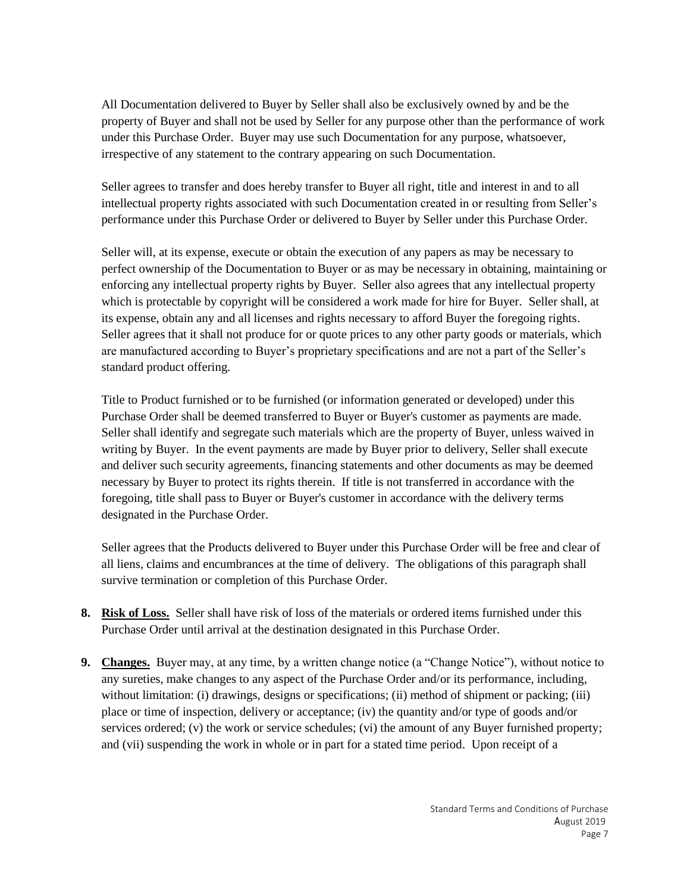All Documentation delivered to Buyer by Seller shall also be exclusively owned by and be the property of Buyer and shall not be used by Seller for any purpose other than the performance of work under this Purchase Order. Buyer may use such Documentation for any purpose, whatsoever, irrespective of any statement to the contrary appearing on such Documentation.

Seller agrees to transfer and does hereby transfer to Buyer all right, title and interest in and to all intellectual property rights associated with such Documentation created in or resulting from Seller's performance under this Purchase Order or delivered to Buyer by Seller under this Purchase Order.

Seller will, at its expense, execute or obtain the execution of any papers as may be necessary to perfect ownership of the Documentation to Buyer or as may be necessary in obtaining, maintaining or enforcing any intellectual property rights by Buyer. Seller also agrees that any intellectual property which is protectable by copyright will be considered a work made for hire for Buyer. Seller shall, at its expense, obtain any and all licenses and rights necessary to afford Buyer the foregoing rights. Seller agrees that it shall not produce for or quote prices to any other party goods or materials, which are manufactured according to Buyer's proprietary specifications and are not a part of the Seller's standard product offering.

Title to Product furnished or to be furnished (or information generated or developed) under this Purchase Order shall be deemed transferred to Buyer or Buyer's customer as payments are made. Seller shall identify and segregate such materials which are the property of Buyer, unless waived in writing by Buyer. In the event payments are made by Buyer prior to delivery, Seller shall execute and deliver such security agreements, financing statements and other documents as may be deemed necessary by Buyer to protect its rights therein. If title is not transferred in accordance with the foregoing, title shall pass to Buyer or Buyer's customer in accordance with the delivery terms designated in the Purchase Order.

Seller agrees that the Products delivered to Buyer under this Purchase Order will be free and clear of all liens, claims and encumbrances at the time of delivery. The obligations of this paragraph shall survive termination or completion of this Purchase Order.

- **8. Risk of Loss.** Seller shall have risk of loss of the materials or ordered items furnished under this Purchase Order until arrival at the destination designated in this Purchase Order.
- **9. Changes.** Buyer may, at any time, by a written change notice (a "Change Notice"), without notice to any sureties, make changes to any aspect of the Purchase Order and/or its performance, including, without limitation: (i) drawings, designs or specifications; (ii) method of shipment or packing; (iii) place or time of inspection, delivery or acceptance; (iv) the quantity and/or type of goods and/or services ordered; (v) the work or service schedules; (vi) the amount of any Buyer furnished property; and (vii) suspending the work in whole or in part for a stated time period. Upon receipt of a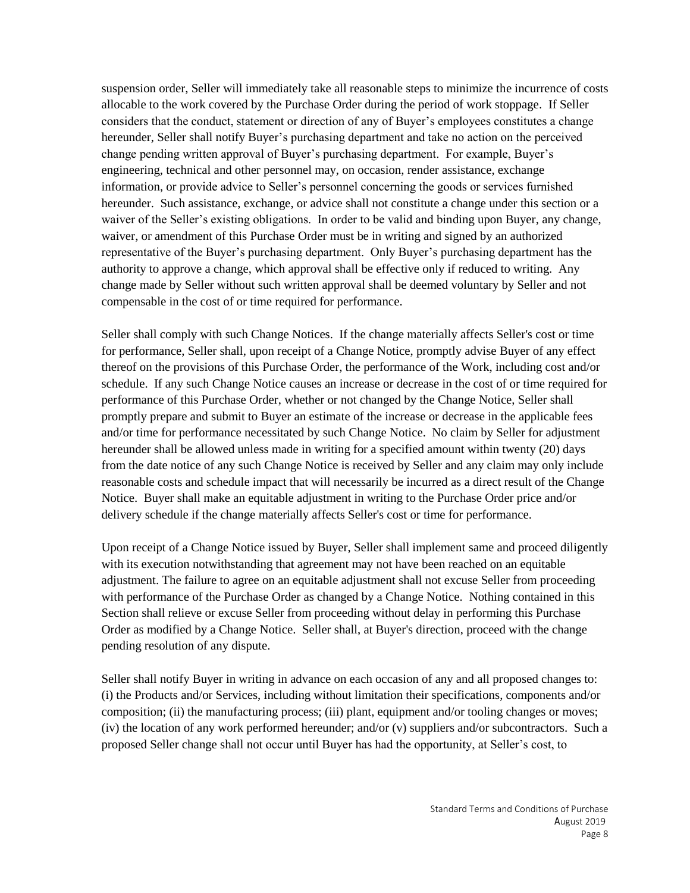suspension order, Seller will immediately take all reasonable steps to minimize the incurrence of costs allocable to the work covered by the Purchase Order during the period of work stoppage. If Seller considers that the conduct, statement or direction of any of Buyer's employees constitutes a change hereunder, Seller shall notify Buyer's purchasing department and take no action on the perceived change pending written approval of Buyer's purchasing department. For example, Buyer's engineering, technical and other personnel may, on occasion, render assistance, exchange information, or provide advice to Seller's personnel concerning the goods or services furnished hereunder. Such assistance, exchange, or advice shall not constitute a change under this section or a waiver of the Seller's existing obligations. In order to be valid and binding upon Buyer, any change, waiver, or amendment of this Purchase Order must be in writing and signed by an authorized representative of the Buyer's purchasing department. Only Buyer's purchasing department has the authority to approve a change, which approval shall be effective only if reduced to writing. Any change made by Seller without such written approval shall be deemed voluntary by Seller and not compensable in the cost of or time required for performance.

Seller shall comply with such Change Notices. If the change materially affects Seller's cost or time for performance, Seller shall, upon receipt of a Change Notice, promptly advise Buyer of any effect thereof on the provisions of this Purchase Order, the performance of the Work, including cost and/or schedule. If any such Change Notice causes an increase or decrease in the cost of or time required for performance of this Purchase Order, whether or not changed by the Change Notice, Seller shall promptly prepare and submit to Buyer an estimate of the increase or decrease in the applicable fees and/or time for performance necessitated by such Change Notice. No claim by Seller for adjustment hereunder shall be allowed unless made in writing for a specified amount within twenty (20) days from the date notice of any such Change Notice is received by Seller and any claim may only include reasonable costs and schedule impact that will necessarily be incurred as a direct result of the Change Notice. Buyer shall make an equitable adjustment in writing to the Purchase Order price and/or delivery schedule if the change materially affects Seller's cost or time for performance.

Upon receipt of a Change Notice issued by Buyer, Seller shall implement same and proceed diligently with its execution notwithstanding that agreement may not have been reached on an equitable adjustment. The failure to agree on an equitable adjustment shall not excuse Seller from proceeding with performance of the Purchase Order as changed by a Change Notice. Nothing contained in this Section shall relieve or excuse Seller from proceeding without delay in performing this Purchase Order as modified by a Change Notice. Seller shall, at Buyer's direction, proceed with the change pending resolution of any dispute.

Seller shall notify Buyer in writing in advance on each occasion of any and all proposed changes to: (i) the Products and/or Services, including without limitation their specifications, components and/or composition; (ii) the manufacturing process; (iii) plant, equipment and/or tooling changes or moves; (iv) the location of any work performed hereunder; and/or (v) suppliers and/or subcontractors. Such a proposed Seller change shall not occur until Buyer has had the opportunity, at Seller's cost, to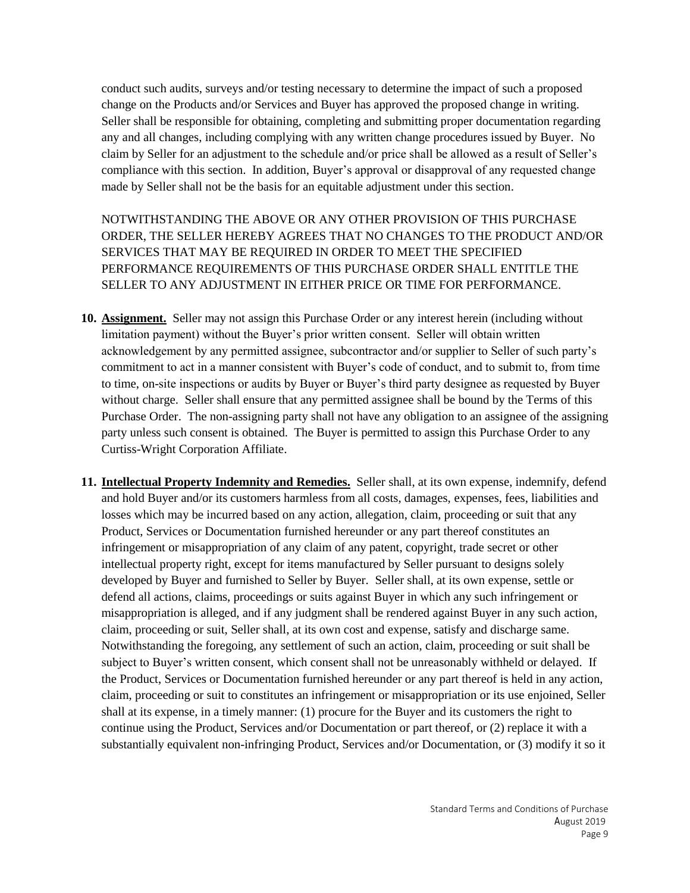conduct such audits, surveys and/or testing necessary to determine the impact of such a proposed change on the Products and/or Services and Buyer has approved the proposed change in writing. Seller shall be responsible for obtaining, completing and submitting proper documentation regarding any and all changes, including complying with any written change procedures issued by Buyer. No claim by Seller for an adjustment to the schedule and/or price shall be allowed as a result of Seller's compliance with this section. In addition, Buyer's approval or disapproval of any requested change made by Seller shall not be the basis for an equitable adjustment under this section.

NOTWITHSTANDING THE ABOVE OR ANY OTHER PROVISION OF THIS PURCHASE ORDER, THE SELLER HEREBY AGREES THAT NO CHANGES TO THE PRODUCT AND/OR SERVICES THAT MAY BE REQUIRED IN ORDER TO MEET THE SPECIFIED PERFORMANCE REQUIREMENTS OF THIS PURCHASE ORDER SHALL ENTITLE THE SELLER TO ANY ADJUSTMENT IN EITHER PRICE OR TIME FOR PERFORMANCE.

- **10. Assignment.** Seller may not assign this Purchase Order or any interest herein (including without limitation payment) without the Buyer's prior written consent. Seller will obtain written acknowledgement by any permitted assignee, subcontractor and/or supplier to Seller of such party's commitment to act in a manner consistent with Buyer's code of conduct, and to submit to, from time to time, on-site inspections or audits by Buyer or Buyer's third party designee as requested by Buyer without charge. Seller shall ensure that any permitted assignee shall be bound by the Terms of this Purchase Order. The non-assigning party shall not have any obligation to an assignee of the assigning party unless such consent is obtained. The Buyer is permitted to assign this Purchase Order to any Curtiss-Wright Corporation Affiliate.
- **11. Intellectual Property Indemnity and Remedies.** Seller shall, at its own expense, indemnify, defend and hold Buyer and/or its customers harmless from all costs, damages, expenses, fees, liabilities and losses which may be incurred based on any action, allegation, claim, proceeding or suit that any Product, Services or Documentation furnished hereunder or any part thereof constitutes an infringement or misappropriation of any claim of any patent, copyright, trade secret or other intellectual property right, except for items manufactured by Seller pursuant to designs solely developed by Buyer and furnished to Seller by Buyer. Seller shall, at its own expense, settle or defend all actions, claims, proceedings or suits against Buyer in which any such infringement or misappropriation is alleged, and if any judgment shall be rendered against Buyer in any such action, claim, proceeding or suit, Seller shall, at its own cost and expense, satisfy and discharge same. Notwithstanding the foregoing, any settlement of such an action, claim, proceeding or suit shall be subject to Buyer's written consent, which consent shall not be unreasonably withheld or delayed. If the Product, Services or Documentation furnished hereunder or any part thereof is held in any action, claim, proceeding or suit to constitutes an infringement or misappropriation or its use enjoined, Seller shall at its expense, in a timely manner: (1) procure for the Buyer and its customers the right to continue using the Product, Services and/or Documentation or part thereof, or (2) replace it with a substantially equivalent non-infringing Product, Services and/or Documentation, or (3) modify it so it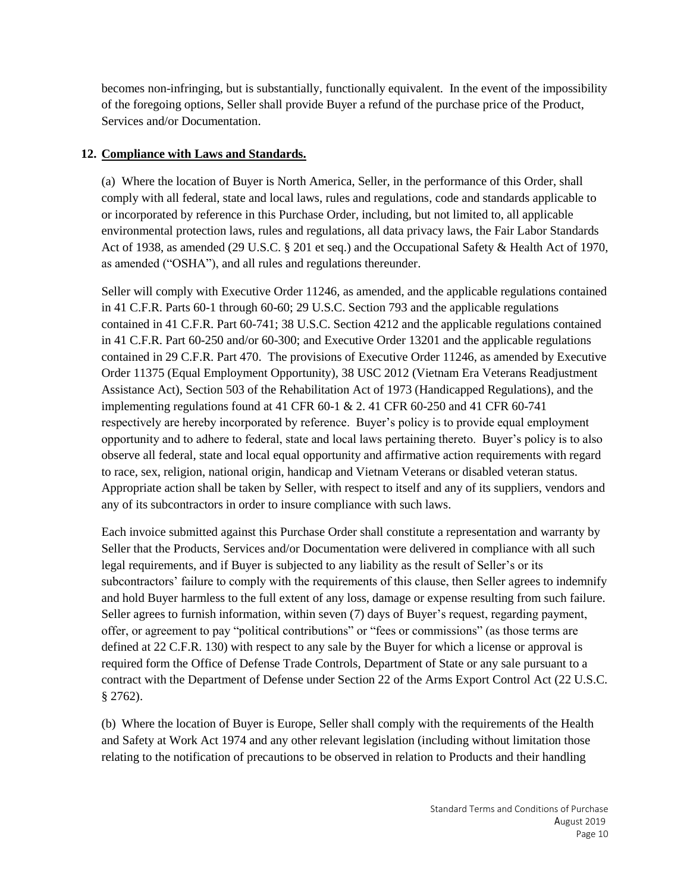becomes non-infringing, but is substantially, functionally equivalent. In the event of the impossibility of the foregoing options, Seller shall provide Buyer a refund of the purchase price of the Product, Services and/or Documentation.

# **12. Compliance with Laws and Standards.**

(a) Where the location of Buyer is North America, Seller, in the performance of this Order, shall comply with all federal, state and local laws, rules and regulations, code and standards applicable to or incorporated by reference in this Purchase Order, including, but not limited to, all applicable environmental protection laws, rules and regulations, all data privacy laws, the Fair Labor Standards Act of 1938, as amended (29 U.S.C. § 201 et seq.) and the Occupational Safety & Health Act of 1970, as amended ("OSHA"), and all rules and regulations thereunder.

Seller will comply with Executive Order 11246, as amended, and the applicable regulations contained in 41 C.F.R. Parts 60-1 through 60-60; 29 U.S.C. Section 793 and the applicable regulations contained in 41 C.F.R. Part 60-741; 38 U.S.C. Section 4212 and the applicable regulations contained in 41 C.F.R. Part 60-250 and/or 60-300; and Executive Order 13201 and the applicable regulations contained in 29 C.F.R. Part 470. The provisions of Executive Order 11246, as amended by Executive Order 11375 (Equal Employment Opportunity), 38 USC 2012 (Vietnam Era Veterans Readjustment Assistance Act), Section 503 of the Rehabilitation Act of 1973 (Handicapped Regulations), and the implementing regulations found at 41 CFR  $60-1$  & 2.41 CFR  $60-250$  and 41 CFR  $60-741$ respectively are hereby incorporated by reference. Buyer's policy is to provide equal employment opportunity and to adhere to federal, state and local laws pertaining thereto. Buyer's policy is to also observe all federal, state and local equal opportunity and affirmative action requirements with regard to race, sex, religion, national origin, handicap and Vietnam Veterans or disabled veteran status. Appropriate action shall be taken by Seller, with respect to itself and any of its suppliers, vendors and any of its subcontractors in order to insure compliance with such laws.

Each invoice submitted against this Purchase Order shall constitute a representation and warranty by Seller that the Products, Services and/or Documentation were delivered in compliance with all such legal requirements, and if Buyer is subjected to any liability as the result of Seller's or its subcontractors' failure to comply with the requirements of this clause, then Seller agrees to indemnify and hold Buyer harmless to the full extent of any loss, damage or expense resulting from such failure. Seller agrees to furnish information, within seven (7) days of Buyer's request, regarding payment, offer, or agreement to pay "political contributions" or "fees or commissions" (as those terms are defined at 22 C.F.R. 130) with respect to any sale by the Buyer for which a license or approval is required form the Office of Defense Trade Controls, Department of State or any sale pursuant to a contract with the Department of Defense under Section 22 of the Arms Export Control Act (22 U.S.C. § 2762).

(b) Where the location of Buyer is Europe, Seller shall comply with the requirements of the Health and Safety at Work Act 1974 and any other relevant legislation (including without limitation those relating to the notification of precautions to be observed in relation to Products and their handling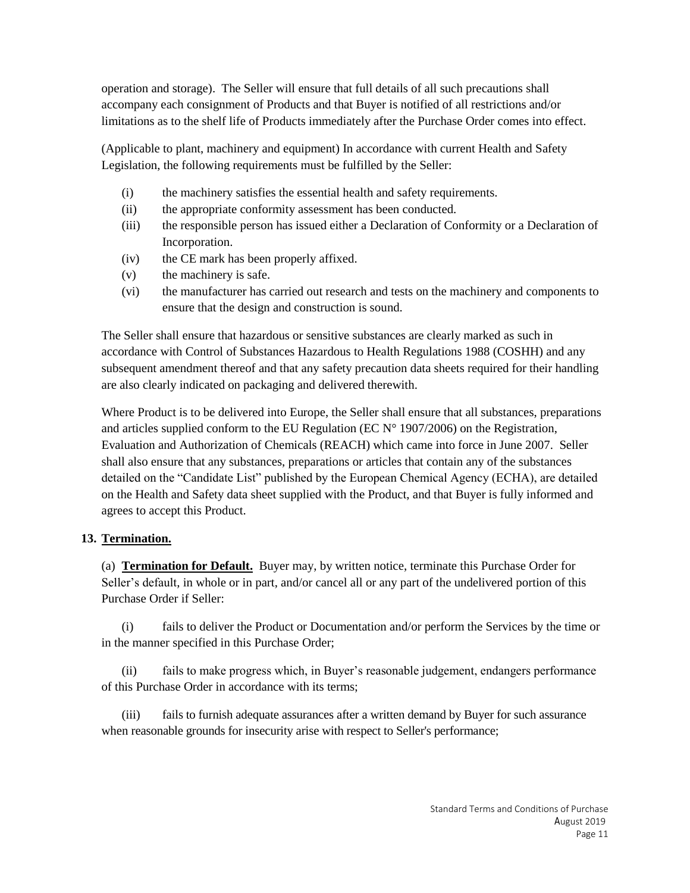operation and storage). The Seller will ensure that full details of all such precautions shall accompany each consignment of Products and that Buyer is notified of all restrictions and/or limitations as to the shelf life of Products immediately after the Purchase Order comes into effect.

(Applicable to plant, machinery and equipment) In accordance with current Health and Safety Legislation, the following requirements must be fulfilled by the Seller:

- (i) the machinery satisfies the essential health and safety requirements.
- (ii) the appropriate conformity assessment has been conducted.
- (iii) the responsible person has issued either a Declaration of Conformity or a Declaration of Incorporation.
- (iv) the CE mark has been properly affixed.
- (v) the machinery is safe.
- (vi) the manufacturer has carried out research and tests on the machinery and components to ensure that the design and construction is sound.

The Seller shall ensure that hazardous or sensitive substances are clearly marked as such in accordance with Control of Substances Hazardous to Health Regulations 1988 (COSHH) and any subsequent amendment thereof and that any safety precaution data sheets required for their handling are also clearly indicated on packaging and delivered therewith.

Where Product is to be delivered into Europe, the Seller shall ensure that all substances, preparations and articles supplied conform to the EU Regulation (EC  $N^{\circ}$  1907/2006) on the Registration, Evaluation and Authorization of Chemicals (REACH) which came into force in June 2007. Seller shall also ensure that any substances, preparations or articles that contain any of the substances detailed on the "Candidate List" published by the European Chemical Agency (ECHA), are detailed on the Health and Safety data sheet supplied with the Product, and that Buyer is fully informed and agrees to accept this Product.

# **13. Termination.**

(a) **Termination for Default.** Buyer may, by written notice, terminate this Purchase Order for Seller's default, in whole or in part, and/or cancel all or any part of the undelivered portion of this Purchase Order if Seller:

(i) fails to deliver the Product or Documentation and/or perform the Services by the time or in the manner specified in this Purchase Order;

(ii) fails to make progress which, in Buyer's reasonable judgement, endangers performance of this Purchase Order in accordance with its terms;

(iii) fails to furnish adequate assurances after a written demand by Buyer for such assurance when reasonable grounds for insecurity arise with respect to Seller's performance;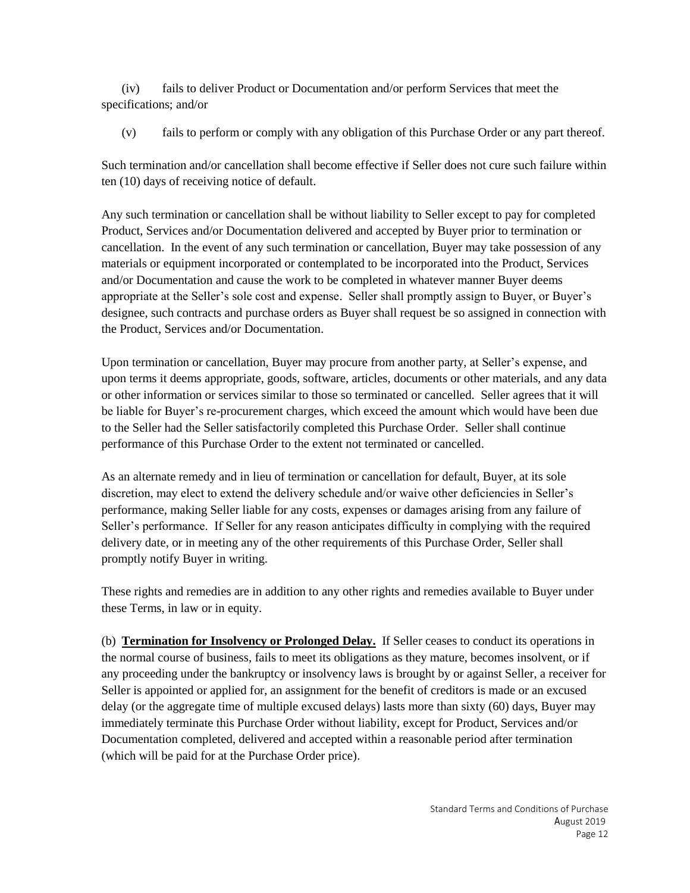(iv) fails to deliver Product or Documentation and/or perform Services that meet the specifications; and/or

(v) fails to perform or comply with any obligation of this Purchase Order or any part thereof.

Such termination and/or cancellation shall become effective if Seller does not cure such failure within ten (10) days of receiving notice of default.

Any such termination or cancellation shall be without liability to Seller except to pay for completed Product, Services and/or Documentation delivered and accepted by Buyer prior to termination or cancellation. In the event of any such termination or cancellation, Buyer may take possession of any materials or equipment incorporated or contemplated to be incorporated into the Product, Services and/or Documentation and cause the work to be completed in whatever manner Buyer deems appropriate at the Seller's sole cost and expense. Seller shall promptly assign to Buyer, or Buyer's designee, such contracts and purchase orders as Buyer shall request be so assigned in connection with the Product, Services and/or Documentation.

Upon termination or cancellation, Buyer may procure from another party, at Seller's expense, and upon terms it deems appropriate, goods, software, articles, documents or other materials, and any data or other information or services similar to those so terminated or cancelled. Seller agrees that it will be liable for Buyer's re-procurement charges, which exceed the amount which would have been due to the Seller had the Seller satisfactorily completed this Purchase Order. Seller shall continue performance of this Purchase Order to the extent not terminated or cancelled.

As an alternate remedy and in lieu of termination or cancellation for default, Buyer, at its sole discretion, may elect to extend the delivery schedule and/or waive other deficiencies in Seller's performance, making Seller liable for any costs, expenses or damages arising from any failure of Seller's performance. If Seller for any reason anticipates difficulty in complying with the required delivery date, or in meeting any of the other requirements of this Purchase Order, Seller shall promptly notify Buyer in writing.

These rights and remedies are in addition to any other rights and remedies available to Buyer under these Terms, in law or in equity.

(b) **Termination for Insolvency or Prolonged Delay.** If Seller ceases to conduct its operations in the normal course of business, fails to meet its obligations as they mature, becomes insolvent, or if any proceeding under the bankruptcy or insolvency laws is brought by or against Seller, a receiver for Seller is appointed or applied for, an assignment for the benefit of creditors is made or an excused delay (or the aggregate time of multiple excused delays) lasts more than sixty (60) days, Buyer may immediately terminate this Purchase Order without liability, except for Product, Services and/or Documentation completed, delivered and accepted within a reasonable period after termination (which will be paid for at the Purchase Order price).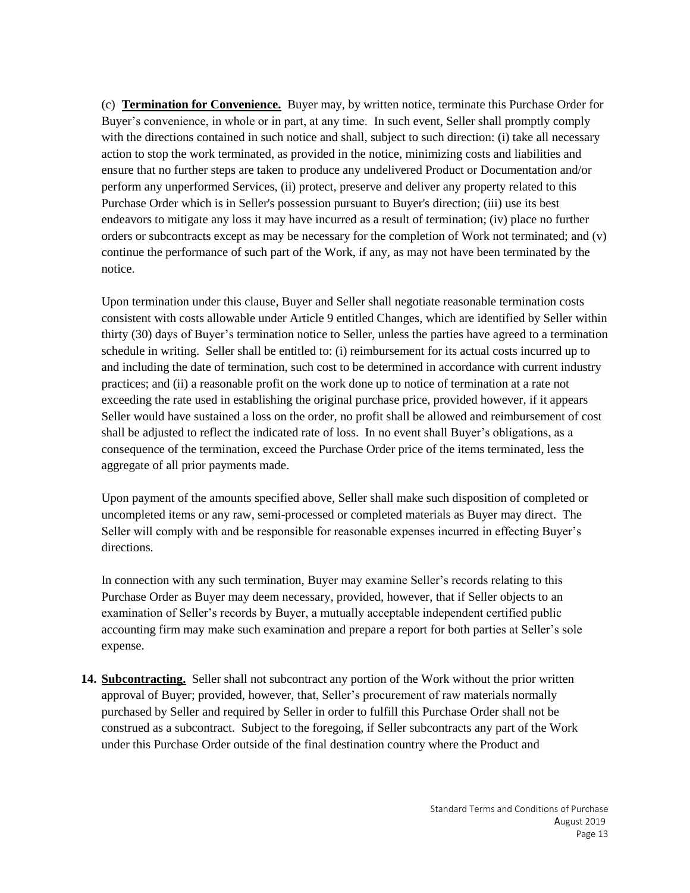(c) **Termination for Convenience.** Buyer may, by written notice, terminate this Purchase Order for Buyer's convenience, in whole or in part, at any time. In such event, Seller shall promptly comply with the directions contained in such notice and shall, subject to such direction: (i) take all necessary action to stop the work terminated, as provided in the notice, minimizing costs and liabilities and ensure that no further steps are taken to produce any undelivered Product or Documentation and/or perform any unperformed Services, (ii) protect, preserve and deliver any property related to this Purchase Order which is in Seller's possession pursuant to Buyer's direction; (iii) use its best endeavors to mitigate any loss it may have incurred as a result of termination; (iv) place no further orders or subcontracts except as may be necessary for the completion of Work not terminated; and (v) continue the performance of such part of the Work, if any, as may not have been terminated by the notice.

Upon termination under this clause, Buyer and Seller shall negotiate reasonable termination costs consistent with costs allowable under Article 9 entitled Changes, which are identified by Seller within thirty (30) days of Buyer's termination notice to Seller, unless the parties have agreed to a termination schedule in writing. Seller shall be entitled to: (i) reimbursement for its actual costs incurred up to and including the date of termination, such cost to be determined in accordance with current industry practices; and (ii) a reasonable profit on the work done up to notice of termination at a rate not exceeding the rate used in establishing the original purchase price, provided however, if it appears Seller would have sustained a loss on the order, no profit shall be allowed and reimbursement of cost shall be adjusted to reflect the indicated rate of loss. In no event shall Buyer's obligations, as a consequence of the termination, exceed the Purchase Order price of the items terminated, less the aggregate of all prior payments made.

Upon payment of the amounts specified above, Seller shall make such disposition of completed or uncompleted items or any raw, semi-processed or completed materials as Buyer may direct. The Seller will comply with and be responsible for reasonable expenses incurred in effecting Buyer's directions.

In connection with any such termination, Buyer may examine Seller's records relating to this Purchase Order as Buyer may deem necessary, provided, however, that if Seller objects to an examination of Seller's records by Buyer, a mutually acceptable independent certified public accounting firm may make such examination and prepare a report for both parties at Seller's sole expense.

**14. Subcontracting.** Seller shall not subcontract any portion of the Work without the prior written approval of Buyer; provided, however, that, Seller's procurement of raw materials normally purchased by Seller and required by Seller in order to fulfill this Purchase Order shall not be construed as a subcontract. Subject to the foregoing, if Seller subcontracts any part of the Work under this Purchase Order outside of the final destination country where the Product and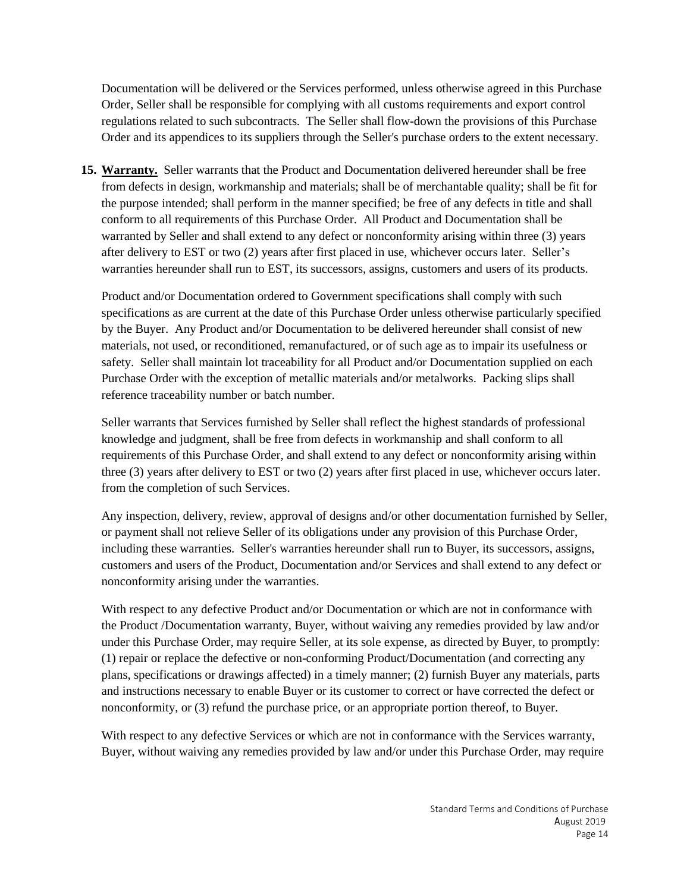Documentation will be delivered or the Services performed, unless otherwise agreed in this Purchase Order, Seller shall be responsible for complying with all customs requirements and export control regulations related to such subcontracts. The Seller shall flow-down the provisions of this Purchase Order and its appendices to its suppliers through the Seller's purchase orders to the extent necessary.

**15. Warranty.** Seller warrants that the Product and Documentation delivered hereunder shall be free from defects in design, workmanship and materials; shall be of merchantable quality; shall be fit for the purpose intended; shall perform in the manner specified; be free of any defects in title and shall conform to all requirements of this Purchase Order. All Product and Documentation shall be warranted by Seller and shall extend to any defect or nonconformity arising within three (3) years after delivery to EST or two (2) years after first placed in use, whichever occurs later. Seller's warranties hereunder shall run to EST, its successors, assigns, customers and users of its products.

Product and/or Documentation ordered to Government specifications shall comply with such specifications as are current at the date of this Purchase Order unless otherwise particularly specified by the Buyer. Any Product and/or Documentation to be delivered hereunder shall consist of new materials, not used, or reconditioned, remanufactured, or of such age as to impair its usefulness or safety. Seller shall maintain lot traceability for all Product and/or Documentation supplied on each Purchase Order with the exception of metallic materials and/or metalworks. Packing slips shall reference traceability number or batch number.

Seller warrants that Services furnished by Seller shall reflect the highest standards of professional knowledge and judgment, shall be free from defects in workmanship and shall conform to all requirements of this Purchase Order, and shall extend to any defect or nonconformity arising within three (3) years after delivery to EST or two (2) years after first placed in use, whichever occurs later. from the completion of such Services.

Any inspection, delivery, review, approval of designs and/or other documentation furnished by Seller, or payment shall not relieve Seller of its obligations under any provision of this Purchase Order, including these warranties. Seller's warranties hereunder shall run to Buyer, its successors, assigns, customers and users of the Product, Documentation and/or Services and shall extend to any defect or nonconformity arising under the warranties.

With respect to any defective Product and/or Documentation or which are not in conformance with the Product /Documentation warranty, Buyer, without waiving any remedies provided by law and/or under this Purchase Order, may require Seller, at its sole expense, as directed by Buyer, to promptly: (1) repair or replace the defective or non-conforming Product/Documentation (and correcting any plans, specifications or drawings affected) in a timely manner; (2) furnish Buyer any materials, parts and instructions necessary to enable Buyer or its customer to correct or have corrected the defect or nonconformity, or (3) refund the purchase price, or an appropriate portion thereof, to Buyer.

With respect to any defective Services or which are not in conformance with the Services warranty, Buyer, without waiving any remedies provided by law and/or under this Purchase Order, may require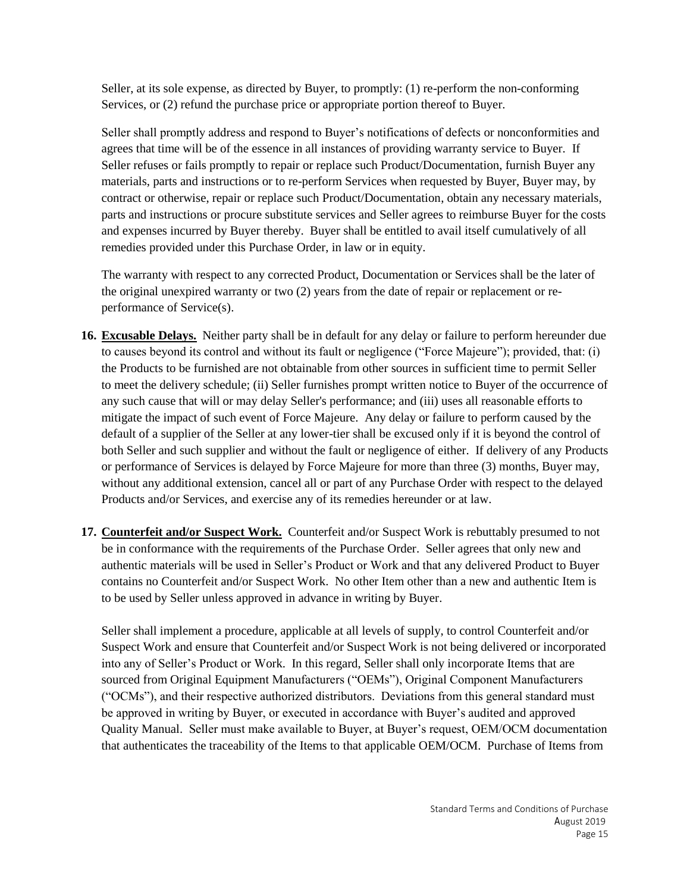Seller, at its sole expense, as directed by Buyer, to promptly: (1) re-perform the non-conforming Services, or (2) refund the purchase price or appropriate portion thereof to Buyer.

Seller shall promptly address and respond to Buyer's notifications of defects or nonconformities and agrees that time will be of the essence in all instances of providing warranty service to Buyer. If Seller refuses or fails promptly to repair or replace such Product/Documentation, furnish Buyer any materials, parts and instructions or to re-perform Services when requested by Buyer, Buyer may, by contract or otherwise, repair or replace such Product/Documentation, obtain any necessary materials, parts and instructions or procure substitute services and Seller agrees to reimburse Buyer for the costs and expenses incurred by Buyer thereby. Buyer shall be entitled to avail itself cumulatively of all remedies provided under this Purchase Order, in law or in equity.

The warranty with respect to any corrected Product, Documentation or Services shall be the later of the original unexpired warranty or two (2) years from the date of repair or replacement or reperformance of Service(s).

- **16. Excusable Delays.** Neither party shall be in default for any delay or failure to perform hereunder due to causes beyond its control and without its fault or negligence ("Force Majeure"); provided, that: (i) the Products to be furnished are not obtainable from other sources in sufficient time to permit Seller to meet the delivery schedule; (ii) Seller furnishes prompt written notice to Buyer of the occurrence of any such cause that will or may delay Seller's performance; and (iii) uses all reasonable efforts to mitigate the impact of such event of Force Majeure. Any delay or failure to perform caused by the default of a supplier of the Seller at any lower-tier shall be excused only if it is beyond the control of both Seller and such supplier and without the fault or negligence of either. If delivery of any Products or performance of Services is delayed by Force Majeure for more than three (3) months, Buyer may, without any additional extension, cancel all or part of any Purchase Order with respect to the delayed Products and/or Services, and exercise any of its remedies hereunder or at law.
- **17. Counterfeit and/or Suspect Work.** Counterfeit and/or Suspect Work is rebuttably presumed to not be in conformance with the requirements of the Purchase Order. Seller agrees that only new and authentic materials will be used in Seller's Product or Work and that any delivered Product to Buyer contains no Counterfeit and/or Suspect Work. No other Item other than a new and authentic Item is to be used by Seller unless approved in advance in writing by Buyer.

Seller shall implement a procedure, applicable at all levels of supply, to control Counterfeit and/or Suspect Work and ensure that Counterfeit and/or Suspect Work is not being delivered or incorporated into any of Seller's Product or Work. In this regard, Seller shall only incorporate Items that are sourced from Original Equipment Manufacturers ("OEMs"), Original Component Manufacturers ("OCMs"), and their respective authorized distributors. Deviations from this general standard must be approved in writing by Buyer, or executed in accordance with Buyer's audited and approved Quality Manual. Seller must make available to Buyer, at Buyer's request, OEM/OCM documentation that authenticates the traceability of the Items to that applicable OEM/OCM. Purchase of Items from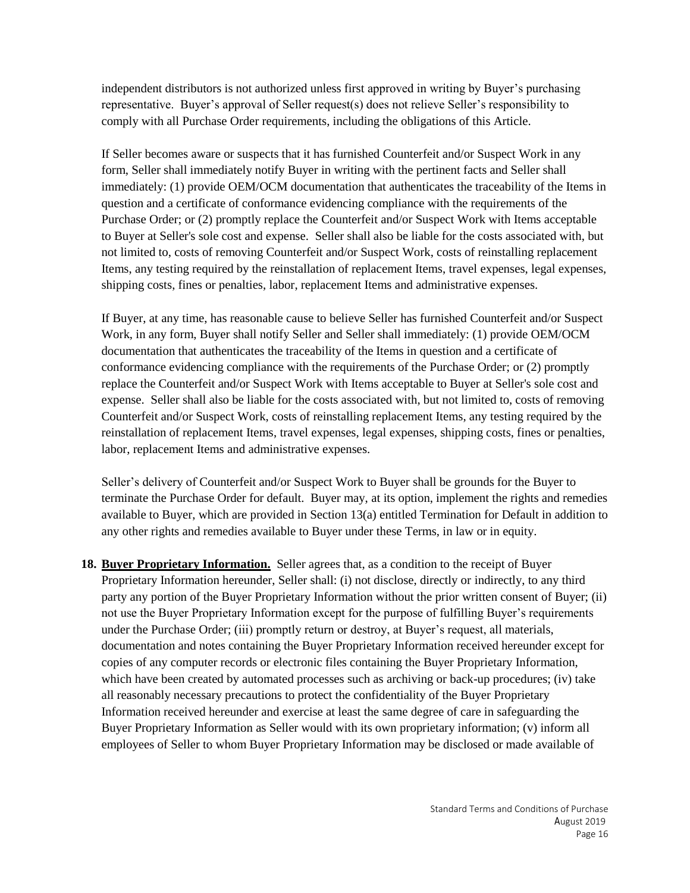independent distributors is not authorized unless first approved in writing by Buyer's purchasing representative. Buyer's approval of Seller request(s) does not relieve Seller's responsibility to comply with all Purchase Order requirements, including the obligations of this Article.

If Seller becomes aware or suspects that it has furnished Counterfeit and/or Suspect Work in any form, Seller shall immediately notify Buyer in writing with the pertinent facts and Seller shall immediately: (1) provide OEM/OCM documentation that authenticates the traceability of the Items in question and a certificate of conformance evidencing compliance with the requirements of the Purchase Order; or (2) promptly replace the Counterfeit and/or Suspect Work with Items acceptable to Buyer at Seller's sole cost and expense. Seller shall also be liable for the costs associated with, but not limited to, costs of removing Counterfeit and/or Suspect Work, costs of reinstalling replacement Items, any testing required by the reinstallation of replacement Items, travel expenses, legal expenses, shipping costs, fines or penalties, labor, replacement Items and administrative expenses.

If Buyer, at any time, has reasonable cause to believe Seller has furnished Counterfeit and/or Suspect Work, in any form, Buyer shall notify Seller and Seller shall immediately: (1) provide OEM/OCM documentation that authenticates the traceability of the Items in question and a certificate of conformance evidencing compliance with the requirements of the Purchase Order; or (2) promptly replace the Counterfeit and/or Suspect Work with Items acceptable to Buyer at Seller's sole cost and expense. Seller shall also be liable for the costs associated with, but not limited to, costs of removing Counterfeit and/or Suspect Work, costs of reinstalling replacement Items, any testing required by the reinstallation of replacement Items, travel expenses, legal expenses, shipping costs, fines or penalties, labor, replacement Items and administrative expenses.

Seller's delivery of Counterfeit and/or Suspect Work to Buyer shall be grounds for the Buyer to terminate the Purchase Order for default. Buyer may, at its option, implement the rights and remedies available to Buyer, which are provided in Section 13(a) entitled Termination for Default in addition to any other rights and remedies available to Buyer under these Terms, in law or in equity.

**18. Buyer Proprietary Information.** Seller agrees that, as a condition to the receipt of Buyer Proprietary Information hereunder, Seller shall: (i) not disclose, directly or indirectly, to any third party any portion of the Buyer Proprietary Information without the prior written consent of Buyer; (ii) not use the Buyer Proprietary Information except for the purpose of fulfilling Buyer's requirements under the Purchase Order; (iii) promptly return or destroy, at Buyer's request, all materials, documentation and notes containing the Buyer Proprietary Information received hereunder except for copies of any computer records or electronic files containing the Buyer Proprietary Information, which have been created by automated processes such as archiving or back-up procedures; (iv) take all reasonably necessary precautions to protect the confidentiality of the Buyer Proprietary Information received hereunder and exercise at least the same degree of care in safeguarding the Buyer Proprietary Information as Seller would with its own proprietary information; (v) inform all employees of Seller to whom Buyer Proprietary Information may be disclosed or made available of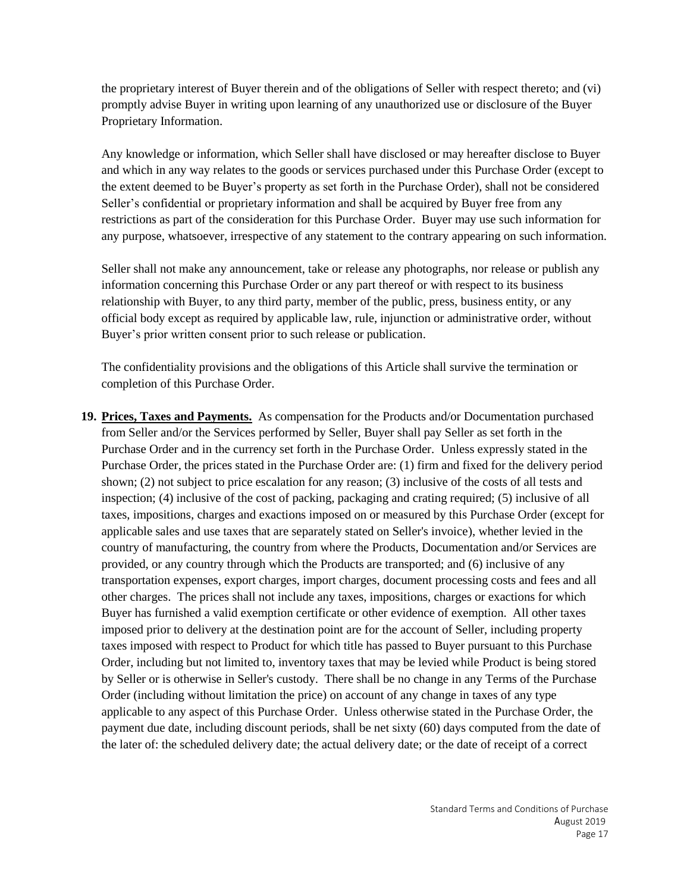the proprietary interest of Buyer therein and of the obligations of Seller with respect thereto; and (vi) promptly advise Buyer in writing upon learning of any unauthorized use or disclosure of the Buyer Proprietary Information.

Any knowledge or information, which Seller shall have disclosed or may hereafter disclose to Buyer and which in any way relates to the goods or services purchased under this Purchase Order (except to the extent deemed to be Buyer's property as set forth in the Purchase Order), shall not be considered Seller's confidential or proprietary information and shall be acquired by Buyer free from any restrictions as part of the consideration for this Purchase Order. Buyer may use such information for any purpose, whatsoever, irrespective of any statement to the contrary appearing on such information.

Seller shall not make any announcement, take or release any photographs, nor release or publish any information concerning this Purchase Order or any part thereof or with respect to its business relationship with Buyer, to any third party, member of the public, press, business entity, or any official body except as required by applicable law, rule, injunction or administrative order, without Buyer's prior written consent prior to such release or publication.

The confidentiality provisions and the obligations of this Article shall survive the termination or completion of this Purchase Order.

**19. Prices, Taxes and Payments.** As compensation for the Products and/or Documentation purchased from Seller and/or the Services performed by Seller, Buyer shall pay Seller as set forth in the Purchase Order and in the currency set forth in the Purchase Order. Unless expressly stated in the Purchase Order, the prices stated in the Purchase Order are: (1) firm and fixed for the delivery period shown; (2) not subject to price escalation for any reason; (3) inclusive of the costs of all tests and inspection; (4) inclusive of the cost of packing, packaging and crating required; (5) inclusive of all taxes, impositions, charges and exactions imposed on or measured by this Purchase Order (except for applicable sales and use taxes that are separately stated on Seller's invoice), whether levied in the country of manufacturing, the country from where the Products, Documentation and/or Services are provided, or any country through which the Products are transported; and (6) inclusive of any transportation expenses, export charges, import charges, document processing costs and fees and all other charges. The prices shall not include any taxes, impositions, charges or exactions for which Buyer has furnished a valid exemption certificate or other evidence of exemption. All other taxes imposed prior to delivery at the destination point are for the account of Seller, including property taxes imposed with respect to Product for which title has passed to Buyer pursuant to this Purchase Order, including but not limited to, inventory taxes that may be levied while Product is being stored by Seller or is otherwise in Seller's custody. There shall be no change in any Terms of the Purchase Order (including without limitation the price) on account of any change in taxes of any type applicable to any aspect of this Purchase Order. Unless otherwise stated in the Purchase Order, the payment due date, including discount periods, shall be net sixty (60) days computed from the date of the later of: the scheduled delivery date; the actual delivery date; or the date of receipt of a correct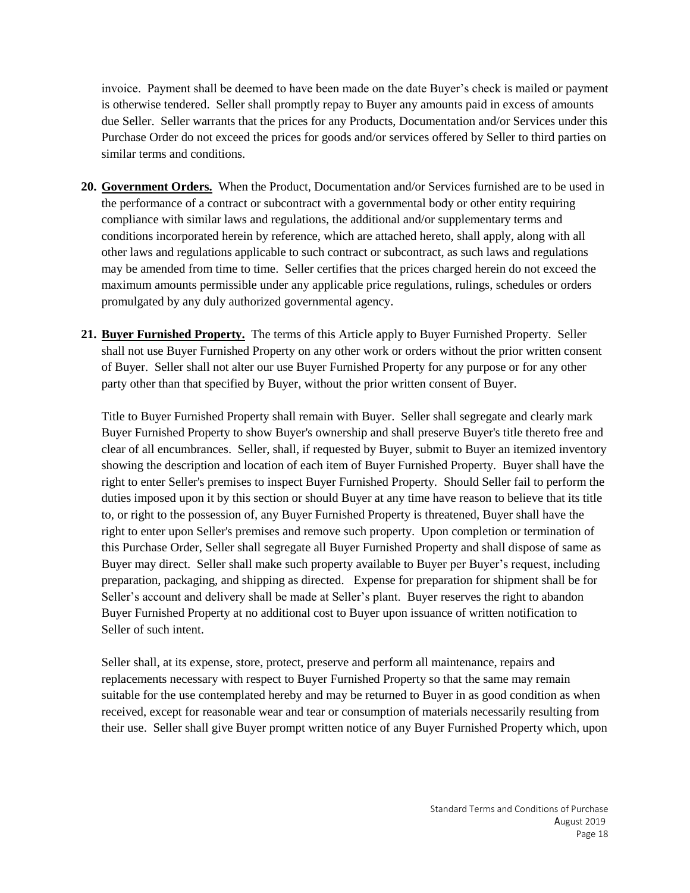invoice. Payment shall be deemed to have been made on the date Buyer's check is mailed or payment is otherwise tendered. Seller shall promptly repay to Buyer any amounts paid in excess of amounts due Seller. Seller warrants that the prices for any Products, Documentation and/or Services under this Purchase Order do not exceed the prices for goods and/or services offered by Seller to third parties on similar terms and conditions.

- **20. Government Orders.** When the Product, Documentation and/or Services furnished are to be used in the performance of a contract or subcontract with a governmental body or other entity requiring compliance with similar laws and regulations, the additional and/or supplementary terms and conditions incorporated herein by reference, which are attached hereto, shall apply, along with all other laws and regulations applicable to such contract or subcontract, as such laws and regulations may be amended from time to time. Seller certifies that the prices charged herein do not exceed the maximum amounts permissible under any applicable price regulations, rulings, schedules or orders promulgated by any duly authorized governmental agency.
- **21. Buyer Furnished Property.** The terms of this Article apply to Buyer Furnished Property.Seller shall not use Buyer Furnished Property on any other work or orders without the prior written consent of Buyer. Seller shall not alter our use Buyer Furnished Property for any purpose or for any other party other than that specified by Buyer, without the prior written consent of Buyer.

Title to Buyer Furnished Property shall remain with Buyer. Seller shall segregate and clearly mark Buyer Furnished Property to show Buyer's ownership and shall preserve Buyer's title thereto free and clear of all encumbrances. Seller, shall, if requested by Buyer, submit to Buyer an itemized inventory showing the description and location of each item of Buyer Furnished Property. Buyer shall have the right to enter Seller's premises to inspect Buyer Furnished Property. Should Seller fail to perform the duties imposed upon it by this section or should Buyer at any time have reason to believe that its title to, or right to the possession of, any Buyer Furnished Property is threatened, Buyer shall have the right to enter upon Seller's premises and remove such property. Upon completion or termination of this Purchase Order, Seller shall segregate all Buyer Furnished Property and shall dispose of same as Buyer may direct. Seller shall make such property available to Buyer per Buyer's request, including preparation, packaging, and shipping as directed. Expense for preparation for shipment shall be for Seller's account and delivery shall be made at Seller's plant. Buyer reserves the right to abandon Buyer Furnished Property at no additional cost to Buyer upon issuance of written notification to Seller of such intent.

Seller shall, at its expense, store, protect, preserve and perform all maintenance, repairs and replacements necessary with respect to Buyer Furnished Property so that the same may remain suitable for the use contemplated hereby and may be returned to Buyer in as good condition as when received, except for reasonable wear and tear or consumption of materials necessarily resulting from their use.Seller shall give Buyer prompt written notice of any Buyer Furnished Property which, upon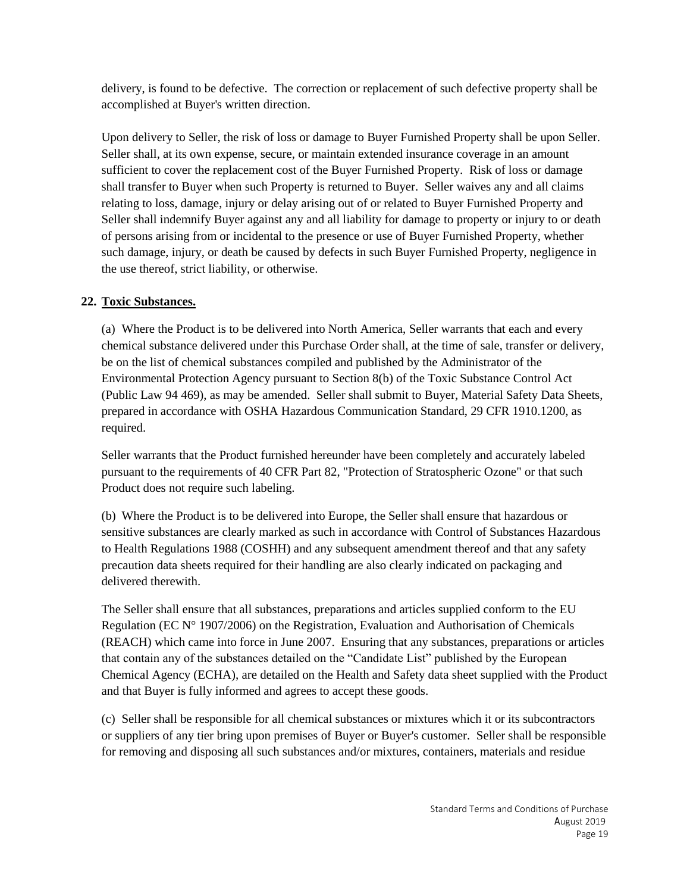delivery, is found to be defective. The correction or replacement of such defective property shall be accomplished at Buyer's written direction.

Upon delivery to Seller, the risk of loss or damage to Buyer Furnished Property shall be upon Seller. Seller shall, at its own expense, secure, or maintain extended insurance coverage in an amount sufficient to cover the replacement cost of the Buyer Furnished Property. Risk of loss or damage shall transfer to Buyer when such Property is returned to Buyer. Seller waives any and all claims relating to loss, damage, injury or delay arising out of or related to Buyer Furnished Property and Seller shall indemnify Buyer against any and all liability for damage to property or injury to or death of persons arising from or incidental to the presence or use of Buyer Furnished Property, whether such damage, injury, or death be caused by defects in such Buyer Furnished Property, negligence in the use thereof, strict liability, or otherwise.

# **22. Toxic Substances.**

(a) Where the Product is to be delivered into North America, Seller warrants that each and every chemical substance delivered under this Purchase Order shall, at the time of sale, transfer or delivery, be on the list of chemical substances compiled and published by the Administrator of the Environmental Protection Agency pursuant to Section 8(b) of the Toxic Substance Control Act (Public Law 94 469), as may be amended. Seller shall submit to Buyer, Material Safety Data Sheets, prepared in accordance with OSHA Hazardous Communication Standard, 29 CFR 1910.1200, as required.

Seller warrants that the Product furnished hereunder have been completely and accurately labeled pursuant to the requirements of 40 CFR Part 82, "Protection of Stratospheric Ozone" or that such Product does not require such labeling.

(b) Where the Product is to be delivered into Europe, the Seller shall ensure that hazardous or sensitive substances are clearly marked as such in accordance with Control of Substances Hazardous to Health Regulations 1988 (COSHH) and any subsequent amendment thereof and that any safety precaution data sheets required for their handling are also clearly indicated on packaging and delivered therewith.

The Seller shall ensure that all substances, preparations and articles supplied conform to the EU Regulation (EC N° 1907/2006) on the Registration, Evaluation and Authorisation of Chemicals (REACH) which came into force in June 2007. Ensuring that any substances, preparations or articles that contain any of the substances detailed on the "Candidate List" published by the European Chemical Agency (ECHA), are detailed on the Health and Safety data sheet supplied with the Product and that Buyer is fully informed and agrees to accept these goods.

(c) Seller shall be responsible for all chemical substances or mixtures which it or its subcontractors or suppliers of any tier bring upon premises of Buyer or Buyer's customer. Seller shall be responsible for removing and disposing all such substances and/or mixtures, containers, materials and residue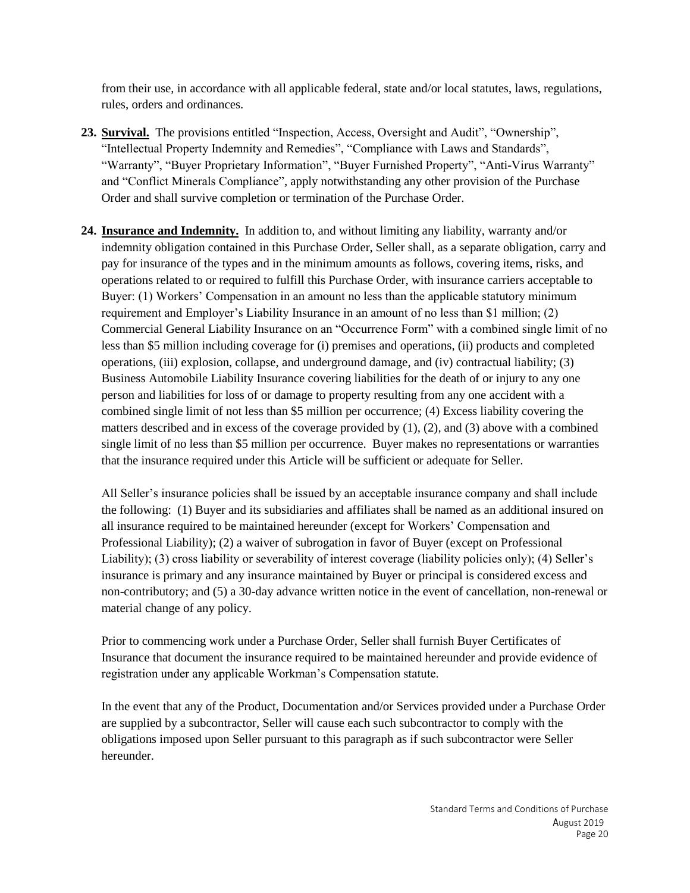from their use, in accordance with all applicable federal, state and/or local statutes, laws, regulations, rules, orders and ordinances.

- **23. Survival.** The provisions entitled "Inspection, Access, Oversight and Audit", "Ownership", "Intellectual Property Indemnity and Remedies", "Compliance with Laws and Standards", "Warranty", "Buyer Proprietary Information", "Buyer Furnished Property", "Anti-Virus Warranty" and "Conflict Minerals Compliance", apply notwithstanding any other provision of the Purchase Order and shall survive completion or termination of the Purchase Order.
- **24. Insurance and Indemnity.** In addition to, and without limiting any liability, warranty and/or indemnity obligation contained in this Purchase Order, Seller shall, as a separate obligation, carry and pay for insurance of the types and in the minimum amounts as follows, covering items, risks, and operations related to or required to fulfill this Purchase Order, with insurance carriers acceptable to Buyer: (1) Workers' Compensation in an amount no less than the applicable statutory minimum requirement and Employer's Liability Insurance in an amount of no less than \$1 million; (2) Commercial General Liability Insurance on an "Occurrence Form" with a combined single limit of no less than \$5 million including coverage for (i) premises and operations, (ii) products and completed operations, (iii) explosion, collapse, and underground damage, and (iv) contractual liability; (3) Business Automobile Liability Insurance covering liabilities for the death of or injury to any one person and liabilities for loss of or damage to property resulting from any one accident with a combined single limit of not less than \$5 million per occurrence; (4) Excess liability covering the matters described and in excess of the coverage provided by (1), (2), and (3) above with a combined single limit of no less than \$5 million per occurrence. Buyer makes no representations or warranties that the insurance required under this Article will be sufficient or adequate for Seller.

All Seller's insurance policies shall be issued by an acceptable insurance company and shall include the following: (1) Buyer and its subsidiaries and affiliates shall be named as an additional insured on all insurance required to be maintained hereunder (except for Workers' Compensation and Professional Liability); (2) a waiver of subrogation in favor of Buyer (except on Professional Liability); (3) cross liability or severability of interest coverage (liability policies only); (4) Seller's insurance is primary and any insurance maintained by Buyer or principal is considered excess and non-contributory; and (5) a 30-day advance written notice in the event of cancellation, non-renewal or material change of any policy.

Prior to commencing work under a Purchase Order, Seller shall furnish Buyer Certificates of Insurance that document the insurance required to be maintained hereunder and provide evidence of registration under any applicable Workman's Compensation statute.

In the event that any of the Product, Documentation and/or Services provided under a Purchase Order are supplied by a subcontractor, Seller will cause each such subcontractor to comply with the obligations imposed upon Seller pursuant to this paragraph as if such subcontractor were Seller hereunder.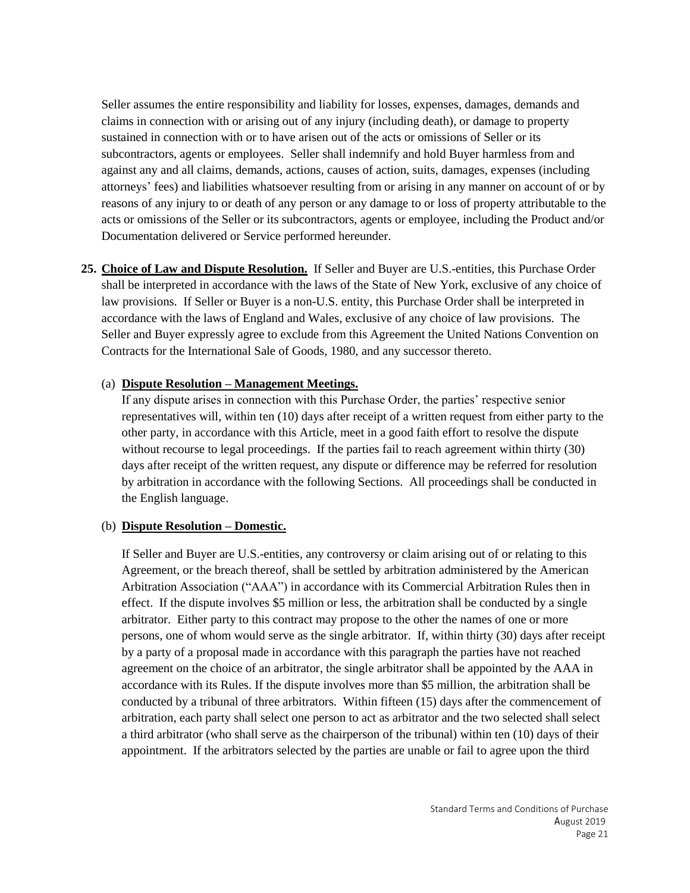Seller assumes the entire responsibility and liability for losses, expenses, damages, demands and claims in connection with or arising out of any injury (including death), or damage to property sustained in connection with or to have arisen out of the acts or omissions of Seller or its subcontractors, agents or employees. Seller shall indemnify and hold Buyer harmless from and against any and all claims, demands, actions, causes of action, suits, damages, expenses (including attorneys' fees) and liabilities whatsoever resulting from or arising in any manner on account of or by reasons of any injury to or death of any person or any damage to or loss of property attributable to the acts or omissions of the Seller or its subcontractors, agents or employee, including the Product and/or Documentation delivered or Service performed hereunder.

**25. Choice of Law and Dispute Resolution.** If Seller and Buyer are U.S.-entities, this Purchase Order shall be interpreted in accordance with the laws of the State of New York, exclusive of any choice of law provisions. If Seller or Buyer is a non-U.S. entity, this Purchase Order shall be interpreted in accordance with the laws of England and Wales, exclusive of any choice of law provisions. The Seller and Buyer expressly agree to exclude from this Agreement the United Nations Convention on Contracts for the International Sale of Goods, 1980, and any successor thereto.

#### (a) **Dispute Resolution – Management Meetings.**

If any dispute arises in connection with this Purchase Order, the parties' respective senior representatives will, within ten (10) days after receipt of a written request from either party to the other party, in accordance with this Article, meet in a good faith effort to resolve the dispute without recourse to legal proceedings. If the parties fail to reach agreement within thirty (30) days after receipt of the written request, any dispute or difference may be referred for resolution by arbitration in accordance with the following Sections. All proceedings shall be conducted in the English language.

### (b) **Dispute Resolution – Domestic.**

If Seller and Buyer are U.S.-entities, any controversy or claim arising out of or relating to this Agreement, or the breach thereof, shall be settled by arbitration administered by the American Arbitration Association ("AAA") in accordance with its Commercial Arbitration Rules then in effect. If the dispute involves \$5 million or less, the arbitration shall be conducted by a single arbitrator. Either party to this contract may propose to the other the names of one or more persons, one of whom would serve as the single arbitrator. If, within thirty (30) days after receipt by a party of a proposal made in accordance with this paragraph the parties have not reached agreement on the choice of an arbitrator, the single arbitrator shall be appointed by the AAA in accordance with its Rules. If the dispute involves more than \$5 million, the arbitration shall be conducted by a tribunal of three arbitrators. Within fifteen (15) days after the commencement of arbitration, each party shall select one person to act as arbitrator and the two selected shall select a third arbitrator (who shall serve as the chairperson of the tribunal) within ten (10) days of their appointment. If the arbitrators selected by the parties are unable or fail to agree upon the third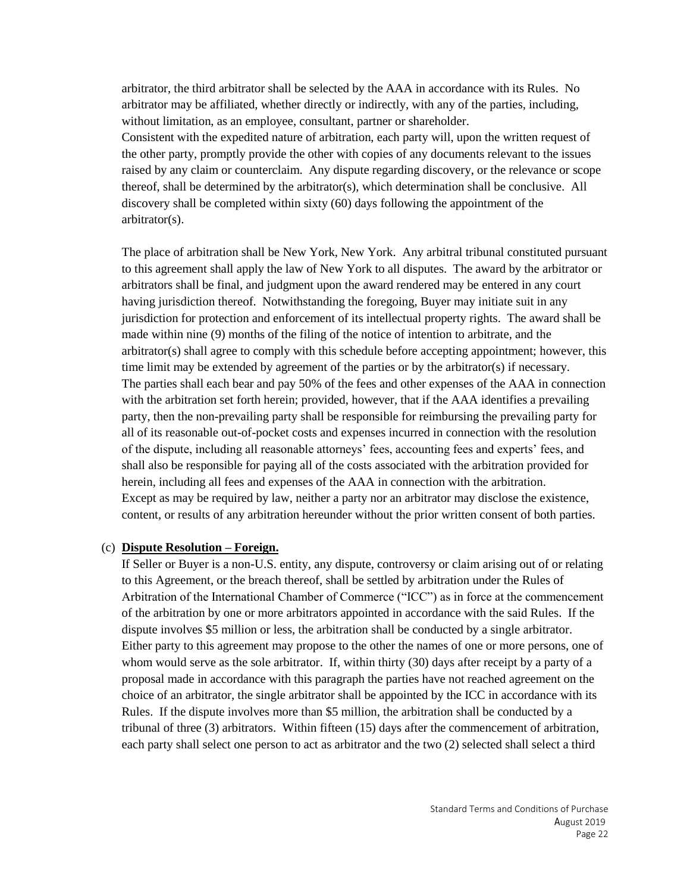arbitrator, the third arbitrator shall be selected by the AAA in accordance with its Rules. No arbitrator may be affiliated, whether directly or indirectly, with any of the parties, including, without limitation, as an employee, consultant, partner or shareholder.

Consistent with the expedited nature of arbitration, each party will, upon the written request of the other party, promptly provide the other with copies of any documents relevant to the issues raised by any claim or counterclaim. Any dispute regarding discovery, or the relevance or scope thereof, shall be determined by the arbitrator(s), which determination shall be conclusive. All discovery shall be completed within sixty (60) days following the appointment of the arbitrator(s).

The place of arbitration shall be New York, New York. Any arbitral tribunal constituted pursuant to this agreement shall apply the law of New York to all disputes. The award by the arbitrator or arbitrators shall be final, and judgment upon the award rendered may be entered in any court having jurisdiction thereof. Notwithstanding the foregoing, Buyer may initiate suit in any jurisdiction for protection and enforcement of its intellectual property rights. The award shall be made within nine (9) months of the filing of the notice of intention to arbitrate, and the arbitrator(s) shall agree to comply with this schedule before accepting appointment; however, this time limit may be extended by agreement of the parties or by the arbitrator(s) if necessary. The parties shall each bear and pay 50% of the fees and other expenses of the AAA in connection with the arbitration set forth herein; provided, however, that if the AAA identifies a prevailing party, then the non-prevailing party shall be responsible for reimbursing the prevailing party for all of its reasonable out-of-pocket costs and expenses incurred in connection with the resolution of the dispute, including all reasonable attorneys' fees, accounting fees and experts' fees, and shall also be responsible for paying all of the costs associated with the arbitration provided for herein, including all fees and expenses of the AAA in connection with the arbitration. Except as may be required by law, neither a party nor an arbitrator may disclose the existence, content, or results of any arbitration hereunder without the prior written consent of both parties.

#### (c) **Dispute Resolution – Foreign.**

If Seller or Buyer is a non-U.S. entity, any dispute, controversy or claim arising out of or relating to this Agreement, or the breach thereof, shall be settled by arbitration under the Rules of Arbitration of the International Chamber of Commerce ("ICC") as in force at the commencement of the arbitration by one or more arbitrators appointed in accordance with the said Rules. If the dispute involves \$5 million or less, the arbitration shall be conducted by a single arbitrator. Either party to this agreement may propose to the other the names of one or more persons, one of whom would serve as the sole arbitrator. If, within thirty (30) days after receipt by a party of a proposal made in accordance with this paragraph the parties have not reached agreement on the choice of an arbitrator, the single arbitrator shall be appointed by the ICC in accordance with its Rules. If the dispute involves more than \$5 million, the arbitration shall be conducted by a tribunal of three (3) arbitrators. Within fifteen (15) days after the commencement of arbitration, each party shall select one person to act as arbitrator and the two (2) selected shall select a third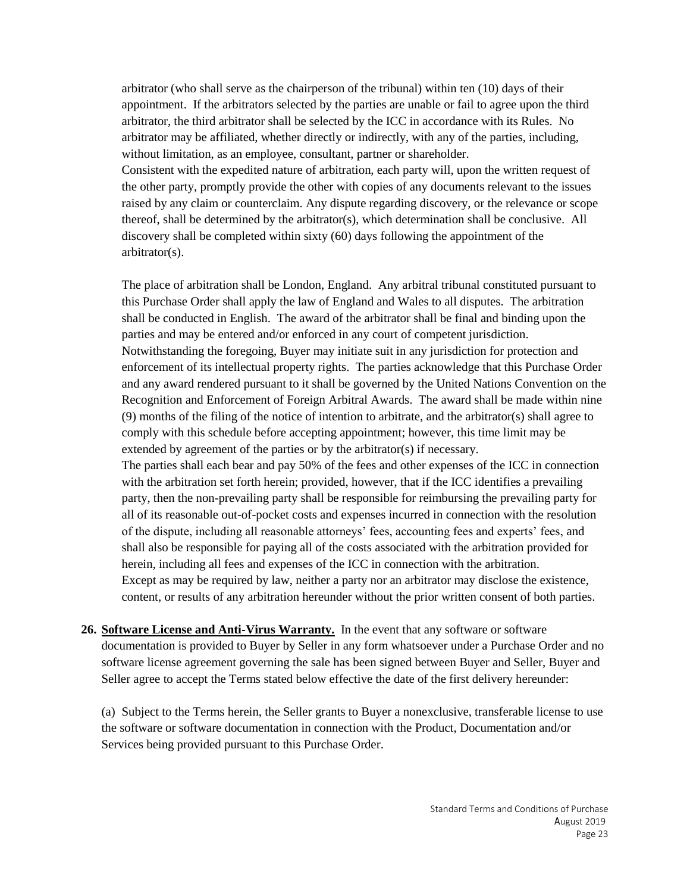arbitrator (who shall serve as the chairperson of the tribunal) within ten (10) days of their appointment. If the arbitrators selected by the parties are unable or fail to agree upon the third arbitrator, the third arbitrator shall be selected by the ICC in accordance with its Rules. No arbitrator may be affiliated, whether directly or indirectly, with any of the parties, including, without limitation, as an employee, consultant, partner or shareholder.

Consistent with the expedited nature of arbitration, each party will, upon the written request of the other party, promptly provide the other with copies of any documents relevant to the issues raised by any claim or counterclaim. Any dispute regarding discovery, or the relevance or scope thereof, shall be determined by the arbitrator(s), which determination shall be conclusive. All discovery shall be completed within sixty (60) days following the appointment of the arbitrator(s).

The place of arbitration shall be London, England. Any arbitral tribunal constituted pursuant to this Purchase Order shall apply the law of England and Wales to all disputes. The arbitration shall be conducted in English. The award of the arbitrator shall be final and binding upon the parties and may be entered and/or enforced in any court of competent jurisdiction. Notwithstanding the foregoing, Buyer may initiate suit in any jurisdiction for protection and enforcement of its intellectual property rights. The parties acknowledge that this Purchase Order and any award rendered pursuant to it shall be governed by the United Nations Convention on the Recognition and Enforcement of Foreign Arbitral Awards. The award shall be made within nine (9) months of the filing of the notice of intention to arbitrate, and the arbitrator(s) shall agree to comply with this schedule before accepting appointment; however, this time limit may be extended by agreement of the parties or by the arbitrator(s) if necessary.

The parties shall each bear and pay 50% of the fees and other expenses of the ICC in connection with the arbitration set forth herein; provided, however, that if the ICC identifies a prevailing party, then the non-prevailing party shall be responsible for reimbursing the prevailing party for all of its reasonable out-of-pocket costs and expenses incurred in connection with the resolution of the dispute, including all reasonable attorneys' fees, accounting fees and experts' fees, and shall also be responsible for paying all of the costs associated with the arbitration provided for herein, including all fees and expenses of the ICC in connection with the arbitration. Except as may be required by law, neither a party nor an arbitrator may disclose the existence, content, or results of any arbitration hereunder without the prior written consent of both parties.

**26. Software License and Anti-Virus Warranty.** In the event that any software or software documentation is provided to Buyer by Seller in any form whatsoever under a Purchase Order and no software license agreement governing the sale has been signed between Buyer and Seller, Buyer and Seller agree to accept the Terms stated below effective the date of the first delivery hereunder:

(a) Subject to the Terms herein, the Seller grants to Buyer a nonexclusive, transferable license to use the software or software documentation in connection with the Product, Documentation and/or Services being provided pursuant to this Purchase Order.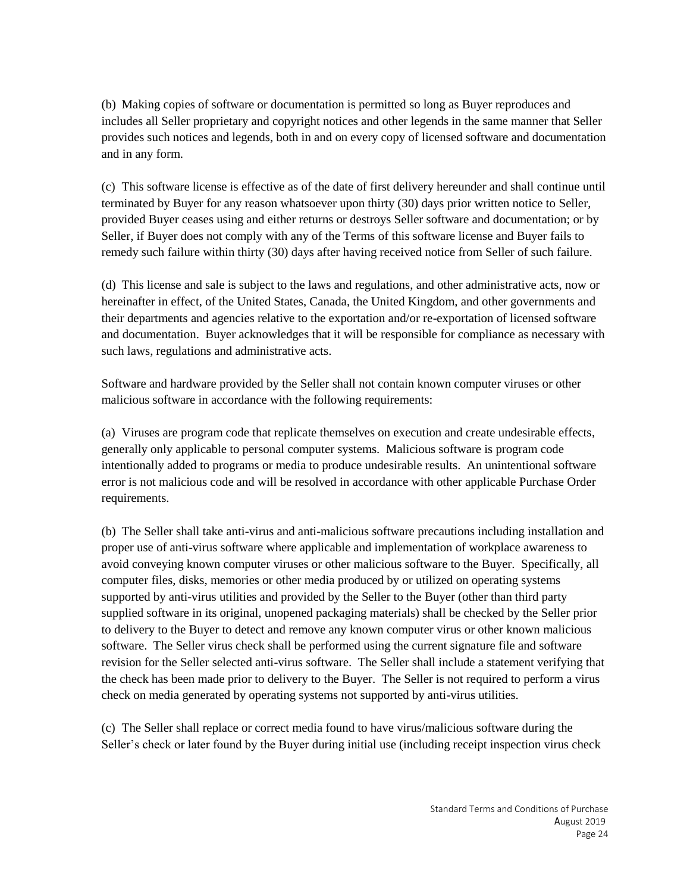(b) Making copies of software or documentation is permitted so long as Buyer reproduces and includes all Seller proprietary and copyright notices and other legends in the same manner that Seller provides such notices and legends, both in and on every copy of licensed software and documentation and in any form.

(c) This software license is effective as of the date of first delivery hereunder and shall continue until terminated by Buyer for any reason whatsoever upon thirty (30) days prior written notice to Seller, provided Buyer ceases using and either returns or destroys Seller software and documentation; or by Seller, if Buyer does not comply with any of the Terms of this software license and Buyer fails to remedy such failure within thirty (30) days after having received notice from Seller of such failure.

(d) This license and sale is subject to the laws and regulations, and other administrative acts, now or hereinafter in effect, of the United States, Canada, the United Kingdom, and other governments and their departments and agencies relative to the exportation and/or re-exportation of licensed software and documentation. Buyer acknowledges that it will be responsible for compliance as necessary with such laws, regulations and administrative acts.

Software and hardware provided by the Seller shall not contain known computer viruses or other malicious software in accordance with the following requirements:

(a) Viruses are program code that replicate themselves on execution and create undesirable effects, generally only applicable to personal computer systems. Malicious software is program code intentionally added to programs or media to produce undesirable results. An unintentional software error is not malicious code and will be resolved in accordance with other applicable Purchase Order requirements.

(b) The Seller shall take anti-virus and anti-malicious software precautions including installation and proper use of anti-virus software where applicable and implementation of workplace awareness to avoid conveying known computer viruses or other malicious software to the Buyer. Specifically, all computer files, disks, memories or other media produced by or utilized on operating systems supported by anti-virus utilities and provided by the Seller to the Buyer (other than third party supplied software in its original, unopened packaging materials) shall be checked by the Seller prior to delivery to the Buyer to detect and remove any known computer virus or other known malicious software. The Seller virus check shall be performed using the current signature file and software revision for the Seller selected anti-virus software. The Seller shall include a statement verifying that the check has been made prior to delivery to the Buyer. The Seller is not required to perform a virus check on media generated by operating systems not supported by anti-virus utilities.

(c) The Seller shall replace or correct media found to have virus/malicious software during the Seller's check or later found by the Buyer during initial use (including receipt inspection virus check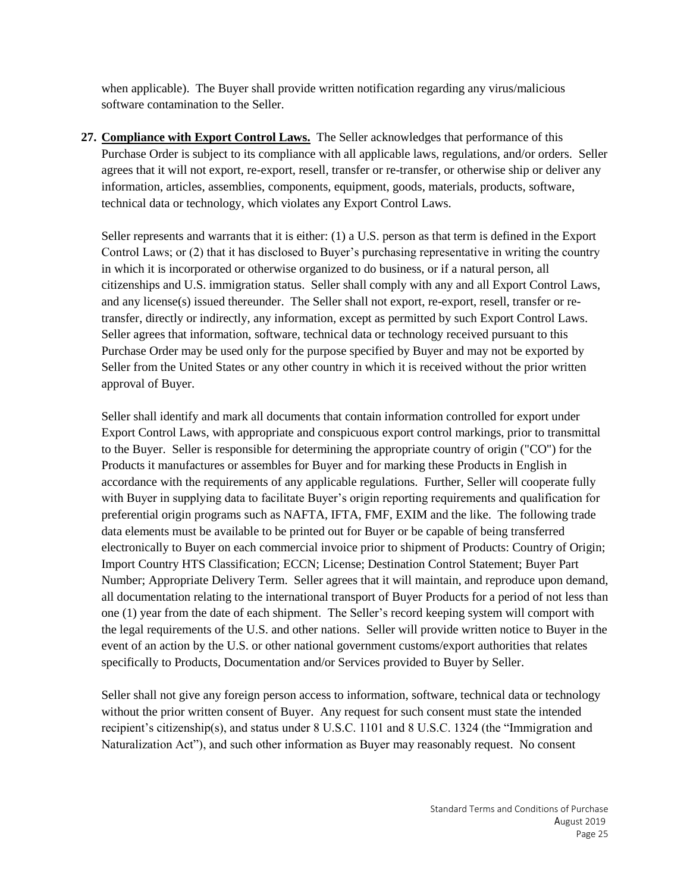when applicable). The Buyer shall provide written notification regarding any virus/malicious software contamination to the Seller.

**27. Compliance with Export Control Laws.** The Seller acknowledges that performance of this Purchase Order is subject to its compliance with all applicable laws, regulations, and/or orders. Seller agrees that it will not export, re-export, resell, transfer or re-transfer, or otherwise ship or deliver any information, articles, assemblies, components, equipment, goods, materials, products, software, technical data or technology, which violates any Export Control Laws.

Seller represents and warrants that it is either: (1) a U.S. person as that term is defined in the Export Control Laws; or (2) that it has disclosed to Buyer's purchasing representative in writing the country in which it is incorporated or otherwise organized to do business, or if a natural person, all citizenships and U.S. immigration status. Seller shall comply with any and all Export Control Laws, and any license(s) issued thereunder. The Seller shall not export, re-export, resell, transfer or retransfer, directly or indirectly, any information, except as permitted by such Export Control Laws. Seller agrees that information, software, technical data or technology received pursuant to this Purchase Order may be used only for the purpose specified by Buyer and may not be exported by Seller from the United States or any other country in which it is received without the prior written approval of Buyer.

Seller shall identify and mark all documents that contain information controlled for export under Export Control Laws, with appropriate and conspicuous export control markings, prior to transmittal to the Buyer. Seller is responsible for determining the appropriate country of origin ("CO") for the Products it manufactures or assembles for Buyer and for marking these Products in English in accordance with the requirements of any applicable regulations. Further, Seller will cooperate fully with Buyer in supplying data to facilitate Buyer's origin reporting requirements and qualification for preferential origin programs such as NAFTA, IFTA, FMF, EXIM and the like. The following trade data elements must be available to be printed out for Buyer or be capable of being transferred electronically to Buyer on each commercial invoice prior to shipment of Products: Country of Origin; Import Country HTS Classification; ECCN; License; Destination Control Statement; Buyer Part Number; Appropriate Delivery Term. Seller agrees that it will maintain, and reproduce upon demand, all documentation relating to the international transport of Buyer Products for a period of not less than one (1) year from the date of each shipment. The Seller's record keeping system will comport with the legal requirements of the U.S. and other nations. Seller will provide written notice to Buyer in the event of an action by the U.S. or other national government customs/export authorities that relates specifically to Products, Documentation and/or Services provided to Buyer by Seller.

Seller shall not give any foreign person access to information, software, technical data or technology without the prior written consent of Buyer. Any request for such consent must state the intended recipient's citizenship(s), and status under 8 U.S.C. 1101 and 8 U.S.C. 1324 (the "Immigration and Naturalization Act"), and such other information as Buyer may reasonably request. No consent